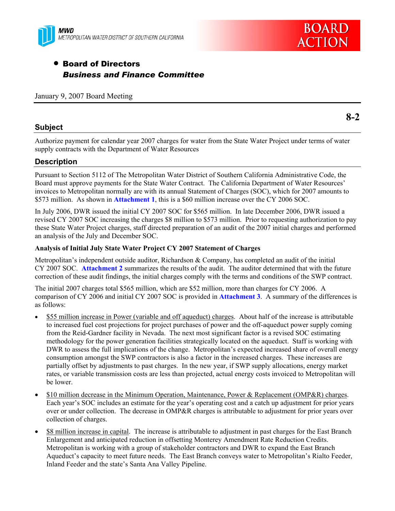

# **BOARD ACTION**

# • Board of Directors *Business and Finance Committee*

January 9, 2007 Board Meeting

### **Subject**

**8-2** 

Authorize payment for calendar year 2007 charges for water from the State Water Project under terms of water supply contracts with the Department of Water Resources

# **Description**

Pursuant to Section 5112 of The Metropolitan Water District of Southern California Administrative Code, the Board must approve payments for the State Water Contract. The California Department of Water Resources' invoices to Metropolitan normally are with its annual Statement of Charges (SOC), which for 2007 amounts to \$573 million. As shown in **Attachment 1**, this is a \$60 million increase over the CY 2006 SOC.

In July 2006, DWR issued the initial CY 2007 SOC for \$565 million. In late December 2006, DWR issued a revised CY 2007 SOC increasing the charges \$8 million to \$573 million. Prior to requesting authorization to pay these State Water Project charges, staff directed preparation of an audit of the 2007 initial charges and performed an analysis of the July and December SOC.

### **Analysis of Initial July State Water Project CY 2007 Statement of Charges**

Metropolitan's independent outside auditor, Richardson & Company, has completed an audit of the initial CY 2007 SOC. **Attachment 2** summarizes the results of the audit. The auditor determined that with the future correction of these audit findings, the initial charges comply with the terms and conditions of the SWP contract.

The initial 2007 charges total \$565 million, which are \$52 million, more than charges for CY 2006. A comparison of CY 2006 and initial CY 2007 SOC is provided in **Attachment 3**. A summary of the differences is as follows:

- \$55 million increase in Power (variable and off aqueduct) charges. About half of the increase is attributable to increased fuel cost projections for project purchases of power and the off-aqueduct power supply coming from the Reid-Gardner facility in Nevada. The next most significant factor is a revised SOC estimating methodology for the power generation facilities strategically located on the aqueduct. Staff is working with DWR to assess the full implications of the change. Metropolitan's expected increased share of overall energy consumption amongst the SWP contractors is also a factor in the increased charges. These increases are partially offset by adjustments to past charges. In the new year, if SWP supply allocations, energy market rates, or variable transmission costs are less than projected, actual energy costs invoiced to Metropolitan will be lower.
- \$10 million decrease in the Minimum Operation, Maintenance, Power & Replacement (OMP&R) charges. Each year's SOC includes an estimate for the year's operating cost and a catch up adjustment for prior years over or under collection. The decrease in OMP&R charges is attributable to adjustment for prior years over collection of charges.
- \$8 million increase in capital. The increase is attributable to adjustment in past charges for the East Branch Enlargement and anticipated reduction in offsetting Monterey Amendment Rate Reduction Credits. Metropolitan is working with a group of stakeholder contractors and DWR to expand the East Branch Aqueduct's capacity to meet future needs. The East Branch conveys water to Metropolitan's Rialto Feeder, Inland Feeder and the state's Santa Ana Valley Pipeline.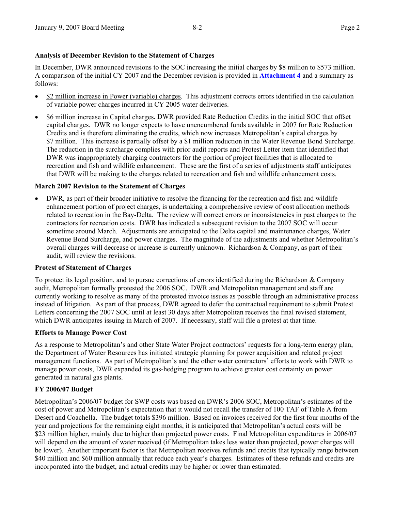### **Analysis of December Revision to the Statement of Charges**

In December, DWR announced revisions to the SOC increasing the initial charges by \$8 million to \$573 million. A comparison of the initial CY 2007 and the December revision is provided in **Attachment 4** and a summary as follows:

- \$2 million increase in Power (variable) charges. This adjustment corrects errors identified in the calculation of variable power charges incurred in CY 2005 water deliveries.
- \$6 million increase in Capital charges. DWR provided Rate Reduction Credits in the initial SOC that offset capital charges. DWR no longer expects to have unencumbered funds available in 2007 for Rate Reduction Credits and is therefore eliminating the credits, which now increases Metropolitan's capital charges by \$7 million. This increase is partially offset by a \$1 million reduction in the Water Revenue Bond Surcharge. The reduction in the surcharge complies with prior audit reports and Protest Letter item that identified that DWR was inappropriately charging contractors for the portion of project facilities that is allocated to recreation and fish and wildlife enhancement. These are the first of a series of adjustments staff anticipates that DWR will be making to the charges related to recreation and fish and wildlife enhancement costs.

### **March 2007 Revision to the Statement of Charges**

• DWR, as part of their broader initiative to resolve the financing for the recreation and fish and wildlife enhancement portion of project charges, is undertaking a comprehensive review of cost allocation methods related to recreation in the Bay-Delta. The review will correct errors or inconsistencies in past charges to the contractors for recreation costs. DWR has indicated a subsequent revision to the 2007 SOC will occur sometime around March. Adjustments are anticipated to the Delta capital and maintenance charges, Water Revenue Bond Surcharge, and power charges. The magnitude of the adjustments and whether Metropolitan's overall charges will decrease or increase is currently unknown. Richardson & Company, as part of their audit, will review the revisions.

### **Protest of Statement of Charges**

To protect its legal position, and to pursue corrections of errors identified during the Richardson & Company audit, Metropolitan formally protested the 2006 SOC. DWR and Metropolitan management and staff are currently working to resolve as many of the protested invoice issues as possible through an administrative process instead of litigation. As part of that process, DWR agreed to defer the contractual requirement to submit Protest Letters concerning the 2007 SOC until at least 30 days after Metropolitan receives the final revised statement, which DWR anticipates issuing in March of 2007. If necessary, staff will file a protest at that time.

### **Efforts to Manage Power Cost**

As a response to Metropolitan's and other State Water Project contractors' requests for a long-term energy plan, the Department of Water Resources has initiated strategic planning for power acquisition and related project management functions. As part of Metropolitan's and the other water contractors' efforts to work with DWR to manage power costs, DWR expanded its gas-hedging program to achieve greater cost certainty on power generated in natural gas plants.

### **FY 2006/07 Budget**

Metropolitan's 2006/07 budget for SWP costs was based on DWR's 2006 SOC, Metropolitan's estimates of the cost of power and Metropolitan's expectation that it would not recall the transfer of 100 TAF of Table A from Desert and Coachella. The budget totals \$396 million. Based on invoices received for the first four months of the year and projections for the remaining eight months, it is anticipated that Metropolitan's actual costs will be \$23 million higher, mainly due to higher than projected power costs. Final Metropolitan expenditures in 2006/07 will depend on the amount of water received (if Metropolitan takes less water than projected, power charges will be lower). Another important factor is that Metropolitan receives refunds and credits that typically range between \$40 million and \$60 million annually that reduce each year's charges. Estimates of these refunds and credits are incorporated into the budget, and actual credits may be higher or lower than estimated.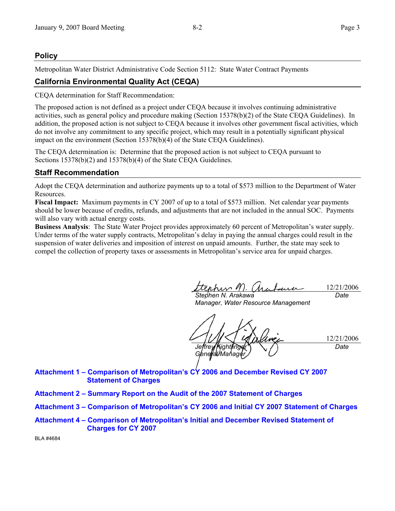### **Policy**

Metropolitan Water District Administrative Code Section 5112: State Water Contract Payments

## **California Environmental Quality Act (CEQA)**

CEQA determination for Staff Recommendation:

The proposed action is not defined as a project under CEQA because it involves continuing administrative activities, such as general policy and procedure making (Section 15378(b)(2) of the State CEQA Guidelines). In addition, the proposed action is not subject to CEQA because it involves other government fiscal activities, which do not involve any commitment to any specific project, which may result in a potentially significant physical impact on the environment (Section 15378(b)(4) of the State CEQA Guidelines).

The CEQA determination is: Determine that the proposed action is not subject to CEQA pursuant to Sections 15378(b)(2) and 15378(b)(4) of the State CEQA Guidelines.

### **Staff Recommendation**

Adopt the CEQA determination and authorize payments up to a total of \$573 million to the Department of Water Resources.

**Fiscal Impact:** Maximum payments in CY 2007 of up to a total of \$573 million. Net calendar year payments should be lower because of credits, refunds, and adjustments that are not included in the annual SOC. Payments will also vary with actual energy costs.

**Business Analysis**: The State Water Project provides approximately 60 percent of Metropolitan's water supply. Under terms of the water supply contracts, Metropolitan's delay in paying the annual charges could result in the suspension of water deliveries and imposition of interest on unpaid amounts. Further, the state may seek to compel the collection of property taxes or assessments in Metropolitan's service area for unpaid charges.

12/21/2006 *Stephen N. Arakawa Date* 

*Manager, Water Resource Management* 

12/21/2006 *Jeffrey Kightlinger General Manager Date* 

**Attachment 1 – Comparison of Metropolitan's CY 2006 and December Revised CY 2007 Statement of Charges** 

- **Attachment 2 Summary Report on the Audit of the 2007 Statement of Charges**
- **Attachment 3 Comparison of Metropolitan's CY 2006 and Initial CY 2007 Statement of Charges**
- **Attachment 4 Comparison of Metropolitan's Initial and December Revised Statement of Charges for CY 2007**

BLA #4684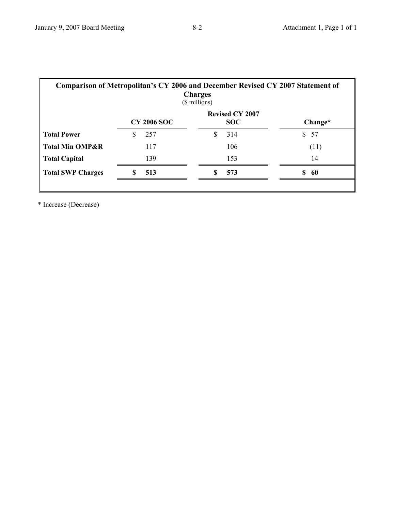| <b>Comparison of Metropolitan's CY 2006 and December Revised CY 2007 Statement of</b><br><b>Charges</b><br>(\$ millions) |                    |                                      |          |  |  |
|--------------------------------------------------------------------------------------------------------------------------|--------------------|--------------------------------------|----------|--|--|
|                                                                                                                          | <b>CY 2006 SOC</b> | <b>Revised CY 2007</b><br><b>SOC</b> | Change*  |  |  |
| <b>Total Power</b>                                                                                                       | 257<br>S           | 314                                  | 57<br>\$ |  |  |
| <b>Total Min OMP&amp;R</b>                                                                                               | 117                | 106                                  | (11)     |  |  |
| <b>Total Capital</b>                                                                                                     | 139                | 153                                  | 14       |  |  |
| <b>Total SWP Charges</b>                                                                                                 | S<br>513           | 573<br>S                             | \$<br>60 |  |  |
|                                                                                                                          |                    |                                      |          |  |  |

\* Increase (Decrease)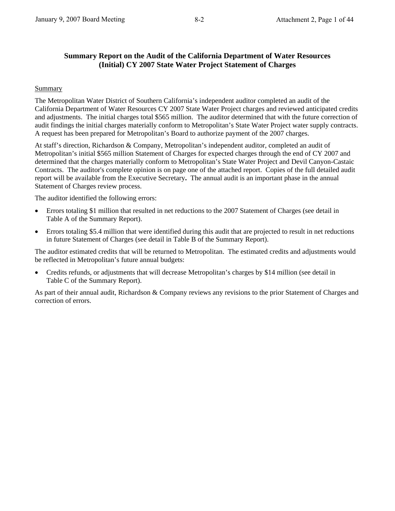# **Summary Report on the Audit of the California Department of Water Resources (Initial) CY 2007 State Water Project Statement of Charges**

# **Summary**

The Metropolitan Water District of Southern California's independent auditor completed an audit of the California Department of Water Resources CY 2007 State Water Project charges and reviewed anticipated credits and adjustments. The initial charges total \$565 million. The auditor determined that with the future correction of audit findings the initial charges materially conform to Metropolitan's State Water Project water supply contracts. A request has been prepared for Metropolitan's Board to authorize payment of the 2007 charges.

At staff's direction, Richardson & Company, Metropolitan's independent auditor, completed an audit of Metropolitan's initial \$565 million Statement of Charges for expected charges through the end of CY 2007 and determined that the charges materially conform to Metropolitan's State Water Project and Devil Canyon-Castaic Contracts. The auditor's complete opinion is on page one of the attached report. Copies of the full detailed audit report will be available from the Executive Secretary**.** The annual audit is an important phase in the annual Statement of Charges review process.

The auditor identified the following errors:

- Errors totaling \$1 million that resulted in net reductions to the 2007 Statement of Charges (see detail in Table A of the Summary Report).
- Errors totaling \$5.4 million that were identified during this audit that are projected to result in net reductions in future Statement of Charges (see detail in Table B of the Summary Report).

The auditor estimated credits that will be returned to Metropolitan. The estimated credits and adjustments would be reflected in Metropolitan's future annual budgets:

• Credits refunds, or adjustments that will decrease Metropolitan's charges by \$14 million (see detail in Table C of the Summary Report).

As part of their annual audit, Richardson & Company reviews any revisions to the prior Statement of Charges and correction of errors.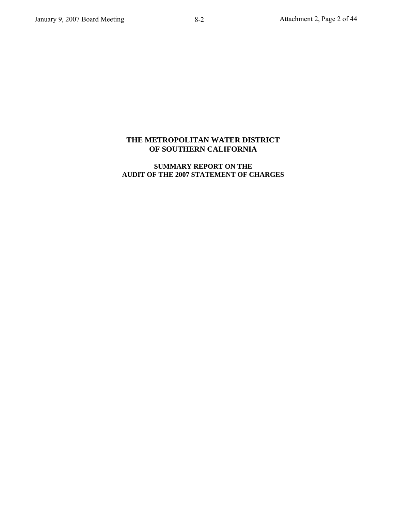# **THE METROPOLITAN WATER DISTRICT OF SOUTHERN CALIFORNIA**

### **SUMMARY REPORT ON THE AUDIT OF THE 2007 STATEMENT OF CHARGES**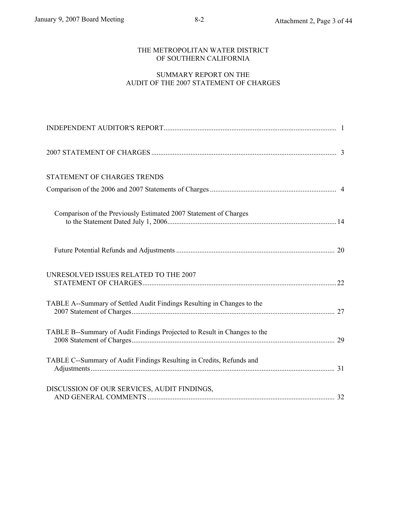### THE METROPOLITAN WATER DISTRICT OF SOUTHERN CALIFORNIA

### SUMMARY REPORT ON THE AUDIT OF THE 2007 STATEMENT OF CHARGES

| STATEMENT OF CHARGES TRENDS                                              |  |
|--------------------------------------------------------------------------|--|
|                                                                          |  |
| Comparison of the Previously Estimated 2007 Statement of Charges         |  |
|                                                                          |  |
| UNRESOLVED ISSUES RELATED TO THE 2007                                    |  |
| TABLE A--Summary of Settled Audit Findings Resulting in Changes to the   |  |
| TABLE B--Summary of Audit Findings Projected to Result in Changes to the |  |
| TABLE C--Summary of Audit Findings Resulting in Credits, Refunds and     |  |
| DISCUSSION OF OUR SERVICES, AUDIT FINDINGS,                              |  |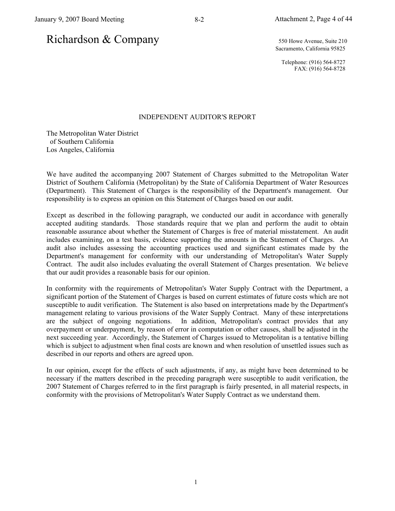# Richardson & Company 550 Howe Avenue, Suite 210

Sacramento, California 95825

Telephone: (916) 564-8727 FAX: (916) 564-8728

### INDEPENDENT AUDITOR'S REPORT

The Metropolitan Water District of Southern California Los Angeles, California

We have audited the accompanying 2007 Statement of Charges submitted to the Metropolitan Water District of Southern California (Metropolitan) by the State of California Department of Water Resources (Department). This Statement of Charges is the responsibility of the Department's management. Our responsibility is to express an opinion on this Statement of Charges based on our audit.

Except as described in the following paragraph, we conducted our audit in accordance with generally accepted auditing standards. Those standards require that we plan and perform the audit to obtain reasonable assurance about whether the Statement of Charges is free of material misstatement. An audit includes examining, on a test basis, evidence supporting the amounts in the Statement of Charges. An audit also includes assessing the accounting practices used and significant estimates made by the Department's management for conformity with our understanding of Metropolitan's Water Supply Contract. The audit also includes evaluating the overall Statement of Charges presentation. We believe that our audit provides a reasonable basis for our opinion.

In conformity with the requirements of Metropolitan's Water Supply Contract with the Department, a significant portion of the Statement of Charges is based on current estimates of future costs which are not susceptible to audit verification. The Statement is also based on interpretations made by the Department's management relating to various provisions of the Water Supply Contract. Many of these interpretations are the subject of ongoing negotiations. In addition, Metropolitan's contract provides that any overpayment or underpayment, by reason of error in computation or other causes, shall be adjusted in the next succeeding year. Accordingly, the Statement of Charges issued to Metropolitan is a tentative billing which is subject to adjustment when final costs are known and when resolution of unsettled issues such as described in our reports and others are agreed upon.

In our opinion, except for the effects of such adjustments, if any, as might have been determined to be necessary if the matters described in the preceding paragraph were susceptible to audit verification, the 2007 Statement of Charges referred to in the first paragraph is fairly presented, in all material respects, in conformity with the provisions of Metropolitan's Water Supply Contract as we understand them.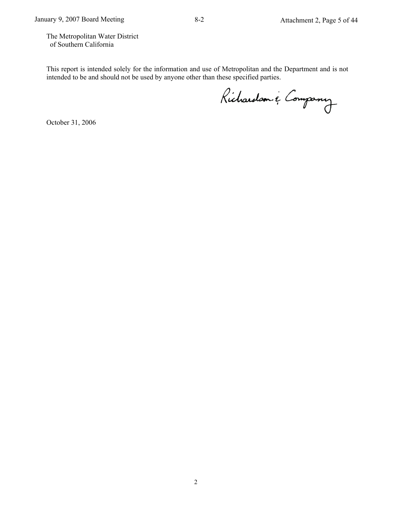The Metropolitan Water District of Southern California

This report is intended solely for the information and use of Metropolitan and the Department and is not intended to be and should not be used by anyone other than these specified parties.

Richardson & Company

October 31, 2006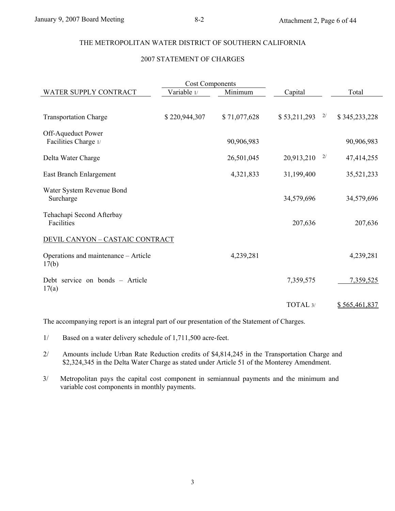### THE METROPOLITAN WATER DISTRICT OF SOUTHERN CALIFORNIA

### 2007 STATEMENT OF CHARGES

| <b>Cost Components</b>                   |               |              |              |                     |  |  |  |  |
|------------------------------------------|---------------|--------------|--------------|---------------------|--|--|--|--|
| WATER SUPPLY CONTRACT                    | Variable 1/   | Minimum      | Capital      | Total               |  |  |  |  |
|                                          |               |              |              |                     |  |  |  |  |
| <b>Transportation Charge</b>             | \$220,944,307 | \$71,077,628 | \$53,211,293 | \$345,233,228<br>2/ |  |  |  |  |
| Off-Aqueduct Power                       |               |              |              |                     |  |  |  |  |
| Facilities Charge 1/                     |               | 90,906,983   |              | 90,906,983          |  |  |  |  |
|                                          |               |              |              |                     |  |  |  |  |
| Delta Water Charge                       |               | 26,501,045   | 20,913,210   | 2/<br>47,414,255    |  |  |  |  |
| East Branch Enlargement                  |               | 4,321,833    | 31,199,400   | 35,521,233          |  |  |  |  |
|                                          |               |              |              |                     |  |  |  |  |
| Water System Revenue Bond                |               |              |              |                     |  |  |  |  |
| Surcharge                                |               |              | 34,579,696   | 34,579,696          |  |  |  |  |
| Tehachapi Second Afterbay                |               |              |              |                     |  |  |  |  |
| Facilities                               |               |              | 207,636      | 207,636             |  |  |  |  |
|                                          |               |              |              |                     |  |  |  |  |
| <b>DEVIL CANYON - CASTAIC CONTRACT</b>   |               |              |              |                     |  |  |  |  |
| Operations and maintenance - Article     |               | 4,239,281    |              | 4,239,281           |  |  |  |  |
| 17(b)                                    |               |              |              |                     |  |  |  |  |
|                                          |               |              |              |                     |  |  |  |  |
| Debt service on bonds – Article<br>17(a) |               |              | 7,359,575    | 7,359,525           |  |  |  |  |
|                                          |               |              |              |                     |  |  |  |  |
|                                          |               |              | TOTAL 3/     | \$565,461,837       |  |  |  |  |

The accompanying report is an integral part of our presentation of the Statement of Charges.

1/ Based on a water delivery schedule of 1,711,500 acre-feet.

2/ Amounts include Urban Rate Reduction credits of \$4,814,245 in the Transportation Charge and \$2,324,345 in the Delta Water Charge as stated under Article 51 of the Monterey Amendment.

3/ Metropolitan pays the capital cost component in semiannual payments and the minimum and variable cost components in monthly payments.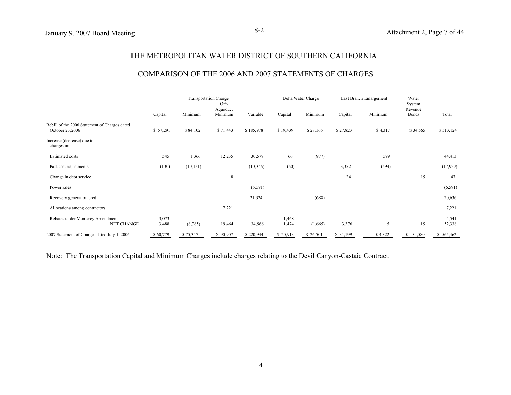### THE METROPOLITAN WATER DISTRICT OF SOUTHERN CALIFORNIA

### COMPARISON OF THE 2006 AND 2007 STATEMENTS OF CHARGES

|                                                                  |                |           | <b>Transportation Charge</b> |           |                | Delta Water Charge |          | East Branch Enlargement | Water                      |                 |
|------------------------------------------------------------------|----------------|-----------|------------------------------|-----------|----------------|--------------------|----------|-------------------------|----------------------------|-----------------|
|                                                                  | Capital        | Minimum   | Off-<br>Aqueduct<br>Minimum  | Variable  | Capital        | Minimum            | Capital  | Minimum                 | System<br>Revenue<br>Bonds | Total           |
| Rebill of the 2006 Statement of Charges dated<br>October 23,2006 | \$57,291       | \$84,102  | \$71,443                     | \$185,978 | \$19,439       | \$28,166           | \$27,823 | \$4,317                 | \$34,565                   | \$513,124       |
| Increase (decrease) due to<br>charges in:                        |                |           |                              |           |                |                    |          |                         |                            |                 |
| <b>Estimated costs</b>                                           | 545            | 1,366     | 12,235                       | 30,579    | 66             | (977)              |          | 599                     |                            | 44,413          |
| Past cost adjustments                                            | (130)          | (10, 151) |                              | (10, 346) | (60)           |                    | 3,352    | (594)                   |                            | (17, 929)       |
| Change in debt service                                           |                |           | 8                            |           |                |                    | 24       |                         | 15                         | 47              |
| Power sales                                                      |                |           |                              | (6, 591)  |                |                    |          |                         |                            | (6, 591)        |
| Recovery generation credit                                       |                |           |                              | 21,324    |                | (688)              |          |                         |                            | 20,636          |
| Allocations among contractors                                    |                |           | 7,221                        |           |                |                    |          |                         |                            | 7,221           |
| Rebates under Monterey Amendment<br><b>NET CHANGE</b>            | 3,073<br>3,488 | (8,785)   | 19,464                       | 34,966    | 1,468<br>1,474 | (1,665)            | 3,376    |                         | 15                         | 4,541<br>52,338 |
| 2007 Statement of Charges dated July 1, 2006                     | \$60,779       | \$75,317  | \$90,907                     | \$220,944 | \$ 20,913      | \$ 26,501          | \$31,199 | \$4,322                 | \$ 34,580                  | \$565,462       |

Note: The Transportation Capital and Minimum Charges include charges relating to the Devil Canyon-Castaic Contract.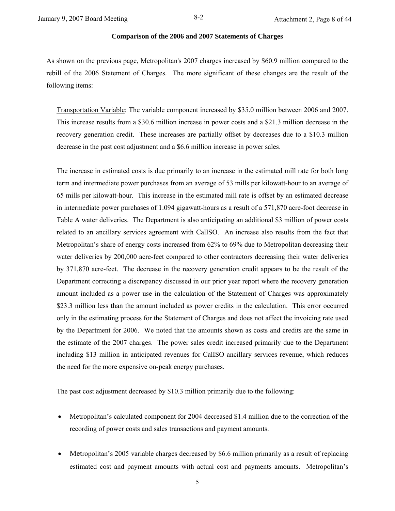### **Comparison of the 2006 and 2007 Statements of Charges**

As shown on the previous page, Metropolitan's 2007 charges increased by \$60.9 million compared to the rebill of the 2006 Statement of Charges. The more significant of these changes are the result of the following items:

Transportation Variable: The variable component increased by \$35.0 million between 2006 and 2007. This increase results from a \$30.6 million increase in power costs and a \$21.3 million decrease in the recovery generation credit. These increases are partially offset by decreases due to a \$10.3 million decrease in the past cost adjustment and a \$6.6 million increase in power sales.

The increase in estimated costs is due primarily to an increase in the estimated mill rate for both long term and intermediate power purchases from an average of 53 mills per kilowatt-hour to an average of 65 mills per kilowatt-hour. This increase in the estimated mill rate is offset by an estimated decrease in intermediate power purchases of 1.094 gigawatt-hours as a result of a 571,870 acre-foot decrease in Table A water deliveries. The Department is also anticipating an additional \$3 million of power costs related to an ancillary services agreement with CalISO. An increase also results from the fact that Metropolitan's share of energy costs increased from 62% to 69% due to Metropolitan decreasing their water deliveries by 200,000 acre-feet compared to other contractors decreasing their water deliveries by 371,870 acre-feet. The decrease in the recovery generation credit appears to be the result of the Department correcting a discrepancy discussed in our prior year report where the recovery generation amount included as a power use in the calculation of the Statement of Charges was approximately \$23.3 million less than the amount included as power credits in the calculation. This error occurred only in the estimating process for the Statement of Charges and does not affect the invoicing rate used by the Department for 2006. We noted that the amounts shown as costs and credits are the same in the estimate of the 2007 charges. The power sales credit increased primarily due to the Department including \$13 million in anticipated revenues for CalISO ancillary services revenue, which reduces the need for the more expensive on-peak energy purchases.

The past cost adjustment decreased by \$10.3 million primarily due to the following:

- Metropolitan's calculated component for 2004 decreased \$1.4 million due to the correction of the recording of power costs and sales transactions and payment amounts.
- Metropolitan's 2005 variable charges decreased by \$6.6 million primarily as a result of replacing estimated cost and payment amounts with actual cost and payments amounts. Metropolitan's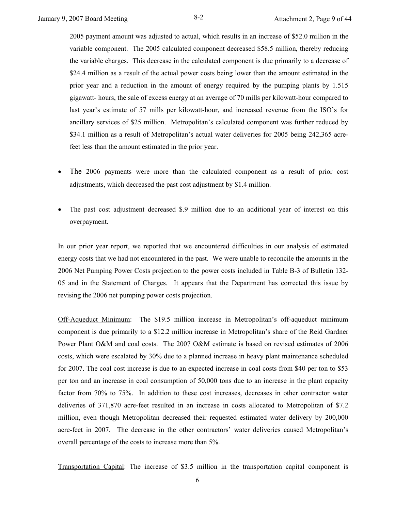2005 payment amount was adjusted to actual, which results in an increase of \$52.0 million in the variable component. The 2005 calculated component decreased \$58.5 million, thereby reducing the variable charges. This decrease in the calculated component is due primarily to a decrease of \$24.4 million as a result of the actual power costs being lower than the amount estimated in the prior year and a reduction in the amount of energy required by the pumping plants by 1.515 gigawatt- hours, the sale of excess energy at an average of 70 mills per kilowatt-hour compared to last year's estimate of 57 mills per kilowatt-hour, and increased revenue from the ISO's for ancillary services of \$25 million. Metropolitan's calculated component was further reduced by \$34.1 million as a result of Metropolitan's actual water deliveries for 2005 being 242,365 acrefeet less than the amount estimated in the prior year.

- The 2006 payments were more than the calculated component as a result of prior cost adjustments, which decreased the past cost adjustment by \$1.4 million.
- The past cost adjustment decreased \$.9 million due to an additional year of interest on this overpayment.

In our prior year report, we reported that we encountered difficulties in our analysis of estimated energy costs that we had not encountered in the past. We were unable to reconcile the amounts in the 2006 Net Pumping Power Costs projection to the power costs included in Table B-3 of Bulletin 132- 05 and in the Statement of Charges. It appears that the Department has corrected this issue by revising the 2006 net pumping power costs projection.

Off-Aqueduct Minimum: The \$19.5 million increase in Metropolitan's off-aqueduct minimum component is due primarily to a \$12.2 million increase in Metropolitan's share of the Reid Gardner Power Plant O&M and coal costs. The 2007 O&M estimate is based on revised estimates of 2006 costs, which were escalated by 30% due to a planned increase in heavy plant maintenance scheduled for 2007. The coal cost increase is due to an expected increase in coal costs from \$40 per ton to \$53 per ton and an increase in coal consumption of 50,000 tons due to an increase in the plant capacity factor from 70% to 75%. In addition to these cost increases, decreases in other contractor water deliveries of 371,870 acre-feet resulted in an increase in costs allocated to Metropolitan of \$7.2 million, even though Metropolitan decreased their requested estimated water delivery by 200,000 acre-feet in 2007. The decrease in the other contractors' water deliveries caused Metropolitan's overall percentage of the costs to increase more than 5%.

Transportation Capital: The increase of \$3.5 million in the transportation capital component is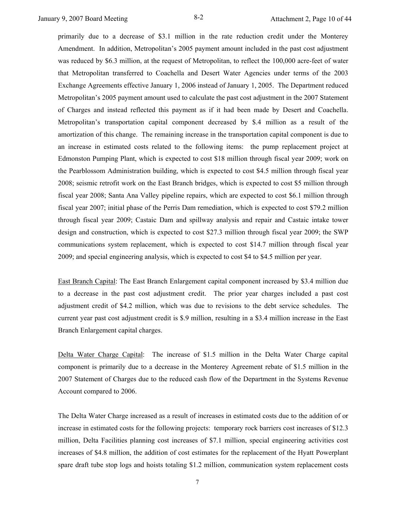primarily due to a decrease of \$3.1 million in the rate reduction credit under the Monterey Amendment. In addition, Metropolitan's 2005 payment amount included in the past cost adjustment was reduced by \$6.3 million, at the request of Metropolitan, to reflect the 100,000 acre-feet of water that Metropolitan transferred to Coachella and Desert Water Agencies under terms of the 2003 Exchange Agreements effective January 1, 2006 instead of January 1, 2005. The Department reduced Metropolitan's 2005 payment amount used to calculate the past cost adjustment in the 2007 Statement of Charges and instead reflected this payment as if it had been made by Desert and Coachella. Metropolitan's transportation capital component decreased by \$.4 million as a result of the amortization of this change. The remaining increase in the transportation capital component is due to an increase in estimated costs related to the following items: the pump replacement project at Edmonston Pumping Plant, which is expected to cost \$18 million through fiscal year 2009; work on the Pearblossom Administration building, which is expected to cost \$4.5 million through fiscal year 2008; seismic retrofit work on the East Branch bridges, which is expected to cost \$5 million through fiscal year 2008; Santa Ana Valley pipeline repairs, which are expected to cost \$6.1 million through fiscal year 2007; initial phase of the Perris Dam remediation, which is expected to cost \$79.2 million through fiscal year 2009; Castaic Dam and spillway analysis and repair and Castaic intake tower design and construction, which is expected to cost \$27.3 million through fiscal year 2009; the SWP communications system replacement, which is expected to cost \$14.7 million through fiscal year 2009; and special engineering analysis, which is expected to cost \$4 to \$4.5 million per year.

East Branch Capital: The East Branch Enlargement capital component increased by \$3.4 million due to a decrease in the past cost adjustment credit. The prior year charges included a past cost adjustment credit of \$4.2 million, which was due to revisions to the debt service schedules. The current year past cost adjustment credit is \$.9 million, resulting in a \$3.4 million increase in the East Branch Enlargement capital charges.

Delta Water Charge Capital: The increase of \$1.5 million in the Delta Water Charge capital component is primarily due to a decrease in the Monterey Agreement rebate of \$1.5 million in the 2007 Statement of Charges due to the reduced cash flow of the Department in the Systems Revenue Account compared to 2006.

The Delta Water Charge increased as a result of increases in estimated costs due to the addition of or increase in estimated costs for the following projects: temporary rock barriers cost increases of \$12.3 million, Delta Facilities planning cost increases of \$7.1 million, special engineering activities cost increases of \$4.8 million, the addition of cost estimates for the replacement of the Hyatt Powerplant spare draft tube stop logs and hoists totaling \$1.2 million, communication system replacement costs

7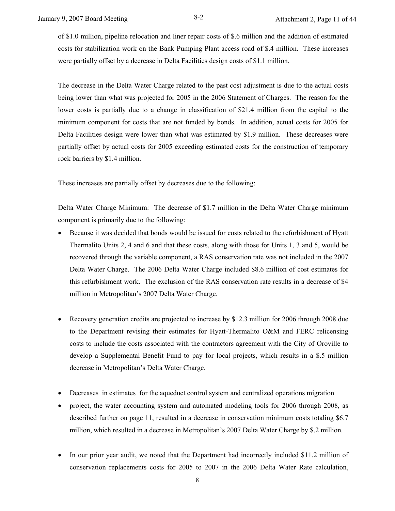of \$1.0 million, pipeline relocation and liner repair costs of \$.6 million and the addition of estimated costs for stabilization work on the Bank Pumping Plant access road of \$.4 million. These increases were partially offset by a decrease in Delta Facilities design costs of \$1.1 million.

The decrease in the Delta Water Charge related to the past cost adjustment is due to the actual costs being lower than what was projected for 2005 in the 2006 Statement of Charges. The reason for the lower costs is partially due to a change in classification of \$21.4 million from the capital to the minimum component for costs that are not funded by bonds. In addition, actual costs for 2005 for Delta Facilities design were lower than what was estimated by \$1.9 million. These decreases were partially offset by actual costs for 2005 exceeding estimated costs for the construction of temporary rock barriers by \$1.4 million.

These increases are partially offset by decreases due to the following:

Delta Water Charge Minimum: The decrease of \$1.7 million in the Delta Water Charge minimum component is primarily due to the following:

- Because it was decided that bonds would be issued for costs related to the refurbishment of Hyatt Thermalito Units 2, 4 and 6 and that these costs, along with those for Units 1, 3 and 5, would be recovered through the variable component, a RAS conservation rate was not included in the 2007 Delta Water Charge. The 2006 Delta Water Charge included \$8.6 million of cost estimates for this refurbishment work. The exclusion of the RAS conservation rate results in a decrease of \$4 million in Metropolitan's 2007 Delta Water Charge.
- Recovery generation credits are projected to increase by \$12.3 million for 2006 through 2008 due to the Department revising their estimates for Hyatt-Thermalito O&M and FERC relicensing costs to include the costs associated with the contractors agreement with the City of Oroville to develop a Supplemental Benefit Fund to pay for local projects, which results in a \$.5 million decrease in Metropolitan's Delta Water Charge.
- Decreases in estimates for the aqueduct control system and centralized operations migration
- project, the water accounting system and automated modeling tools for 2006 through 2008, as described further on page 11, resulted in a decrease in conservation minimum costs totaling \$6.7 million, which resulted in a decrease in Metropolitan's 2007 Delta Water Charge by \$.2 million.
- In our prior year audit, we noted that the Department had incorrectly included \$11.2 million of conservation replacements costs for 2005 to 2007 in the 2006 Delta Water Rate calculation,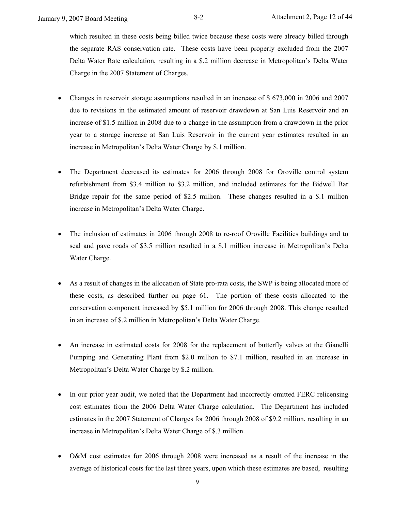which resulted in these costs being billed twice because these costs were already billed through the separate RAS conservation rate. These costs have been properly excluded from the 2007 Delta Water Rate calculation, resulting in a \$.2 million decrease in Metropolitan's Delta Water Charge in the 2007 Statement of Charges.

- Changes in reservoir storage assumptions resulted in an increase of \$ 673,000 in 2006 and 2007 due to revisions in the estimated amount of reservoir drawdown at San Luis Reservoir and an increase of \$1.5 million in 2008 due to a change in the assumption from a drawdown in the prior year to a storage increase at San Luis Reservoir in the current year estimates resulted in an increase in Metropolitan's Delta Water Charge by \$.1 million.
- The Department decreased its estimates for 2006 through 2008 for Oroville control system refurbishment from \$3.4 million to \$3.2 million, and included estimates for the Bidwell Bar Bridge repair for the same period of \$2.5 million. These changes resulted in a \$.1 million increase in Metropolitan's Delta Water Charge.
- The inclusion of estimates in 2006 through 2008 to re-roof Oroville Facilities buildings and to seal and pave roads of \$3.5 million resulted in a \$.1 million increase in Metropolitan's Delta Water Charge.
- As a result of changes in the allocation of State pro-rata costs, the SWP is being allocated more of these costs, as described further on page 61. The portion of these costs allocated to the conservation component increased by \$5.1 million for 2006 through 2008. This change resulted in an increase of \$.2 million in Metropolitan's Delta Water Charge.
- An increase in estimated costs for 2008 for the replacement of butterfly valves at the Gianelli Pumping and Generating Plant from \$2.0 million to \$7.1 million, resulted in an increase in Metropolitan's Delta Water Charge by \$.2 million.
- In our prior year audit, we noted that the Department had incorrectly omitted FERC relicensing cost estimates from the 2006 Delta Water Charge calculation. The Department has included estimates in the 2007 Statement of Charges for 2006 through 2008 of \$9.2 million, resulting in an increase in Metropolitan's Delta Water Charge of \$.3 million.
- O&M cost estimates for 2006 through 2008 were increased as a result of the increase in the average of historical costs for the last three years, upon which these estimates are based, resulting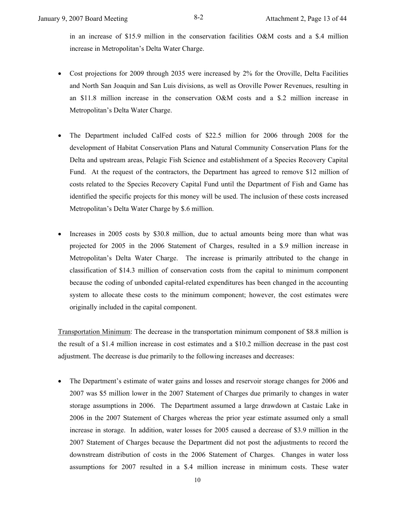in an increase of \$15.9 million in the conservation facilities O&M costs and a \$.4 million increase in Metropolitan's Delta Water Charge.

- Cost projections for 2009 through 2035 were increased by 2% for the Oroville, Delta Facilities and North San Joaquin and San Luis divisions, as well as Oroville Power Revenues, resulting in an \$11.8 million increase in the conservation O&M costs and a \$.2 million increase in Metropolitan's Delta Water Charge.
- The Department included CalFed costs of \$22.5 million for 2006 through 2008 for the development of Habitat Conservation Plans and Natural Community Conservation Plans for the Delta and upstream areas, Pelagic Fish Science and establishment of a Species Recovery Capital Fund. At the request of the contractors, the Department has agreed to remove \$12 million of costs related to the Species Recovery Capital Fund until the Department of Fish and Game has identified the specific projects for this money will be used. The inclusion of these costs increased Metropolitan's Delta Water Charge by \$.6 million.
- Increases in 2005 costs by \$30.8 million, due to actual amounts being more than what was projected for 2005 in the 2006 Statement of Charges, resulted in a \$.9 million increase in Metropolitan's Delta Water Charge. The increase is primarily attributed to the change in classification of \$14.3 million of conservation costs from the capital to minimum component because the coding of unbonded capital-related expenditures has been changed in the accounting system to allocate these costs to the minimum component; however, the cost estimates were originally included in the capital component.

Transportation Minimum: The decrease in the transportation minimum component of \$8.8 million is the result of a \$1.4 million increase in cost estimates and a \$10.2 million decrease in the past cost adjustment. The decrease is due primarily to the following increases and decreases:

• The Department's estimate of water gains and losses and reservoir storage changes for 2006 and 2007 was \$5 million lower in the 2007 Statement of Charges due primarily to changes in water storage assumptions in 2006. The Department assumed a large drawdown at Castaic Lake in 2006 in the 2007 Statement of Charges whereas the prior year estimate assumed only a small increase in storage. In addition, water losses for 2005 caused a decrease of \$3.9 million in the 2007 Statement of Charges because the Department did not post the adjustments to record the downstream distribution of costs in the 2006 Statement of Charges. Changes in water loss assumptions for 2007 resulted in a \$.4 million increase in minimum costs. These water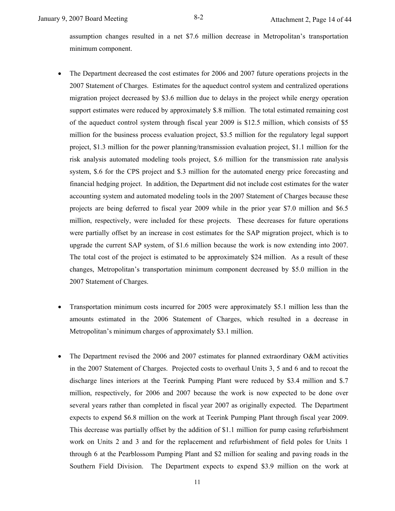assumption changes resulted in a net \$7.6 million decrease in Metropolitan's transportation minimum component.

- The Department decreased the cost estimates for 2006 and 2007 future operations projects in the 2007 Statement of Charges. Estimates for the aqueduct control system and centralized operations migration project decreased by \$3.6 million due to delays in the project while energy operation support estimates were reduced by approximately \$.8 million. The total estimated remaining cost of the aqueduct control system through fiscal year 2009 is \$12.5 million, which consists of \$5 million for the business process evaluation project, \$3.5 million for the regulatory legal support project, \$1.3 million for the power planning/transmission evaluation project, \$1.1 million for the risk analysis automated modeling tools project, \$.6 million for the transmission rate analysis system, \$.6 for the CPS project and \$.3 million for the automated energy price forecasting and financial hedging project. In addition, the Department did not include cost estimates for the water accounting system and automated modeling tools in the 2007 Statement of Charges because these projects are being deferred to fiscal year 2009 while in the prior year \$7.0 million and \$6.5 million, respectively, were included for these projects. These decreases for future operations were partially offset by an increase in cost estimates for the SAP migration project, which is to upgrade the current SAP system, of \$1.6 million because the work is now extending into 2007. The total cost of the project is estimated to be approximately \$24 million. As a result of these changes, Metropolitan's transportation minimum component decreased by \$5.0 million in the 2007 Statement of Charges.
- Transportation minimum costs incurred for 2005 were approximately \$5.1 million less than the amounts estimated in the 2006 Statement of Charges, which resulted in a decrease in Metropolitan's minimum charges of approximately \$3.1 million.
- The Department revised the 2006 and 2007 estimates for planned extraordinary O&M activities in the 2007 Statement of Charges. Projected costs to overhaul Units 3, 5 and 6 and to recoat the discharge lines interiors at the Teerink Pumping Plant were reduced by \$3.4 million and \$.7 million, respectively, for 2006 and 2007 because the work is now expected to be done over several years rather than completed in fiscal year 2007 as originally expected. The Department expects to expend \$6.8 million on the work at Teerink Pumping Plant through fiscal year 2009. This decrease was partially offset by the addition of \$1.1 million for pump casing refurbishment work on Units 2 and 3 and for the replacement and refurbishment of field poles for Units 1 through 6 at the Pearblossom Pumping Plant and \$2 million for sealing and paving roads in the Southern Field Division. The Department expects to expend \$3.9 million on the work at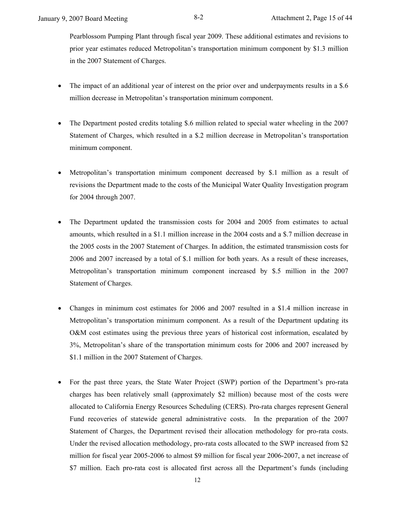Pearblossom Pumping Plant through fiscal year 2009. These additional estimates and revisions to prior year estimates reduced Metropolitan's transportation minimum component by \$1.3 million in the 2007 Statement of Charges.

- The impact of an additional year of interest on the prior over and underpayments results in a \$.6 million decrease in Metropolitan's transportation minimum component.
- The Department posted credits totaling \$.6 million related to special water wheeling in the 2007 Statement of Charges, which resulted in a \$.2 million decrease in Metropolitan's transportation minimum component.
- Metropolitan's transportation minimum component decreased by \$.1 million as a result of revisions the Department made to the costs of the Municipal Water Quality Investigation program for 2004 through 2007.
- The Department updated the transmission costs for 2004 and 2005 from estimates to actual amounts, which resulted in a \$1.1 million increase in the 2004 costs and a \$.7 million decrease in the 2005 costs in the 2007 Statement of Charges. In addition, the estimated transmission costs for 2006 and 2007 increased by a total of \$.1 million for both years. As a result of these increases, Metropolitan's transportation minimum component increased by \$.5 million in the 2007 Statement of Charges.
- Changes in minimum cost estimates for 2006 and 2007 resulted in a \$1.4 million increase in Metropolitan's transportation minimum component. As a result of the Department updating its O&M cost estimates using the previous three years of historical cost information, escalated by 3%, Metropolitan's share of the transportation minimum costs for 2006 and 2007 increased by \$1.1 million in the 2007 Statement of Charges.
- For the past three years, the State Water Project (SWP) portion of the Department's pro-rata charges has been relatively small (approximately \$2 million) because most of the costs were allocated to California Energy Resources Scheduling (CERS). Pro-rata charges represent General Fund recoveries of statewide general administrative costs. In the preparation of the 2007 Statement of Charges, the Department revised their allocation methodology for pro-rata costs. Under the revised allocation methodology, pro-rata costs allocated to the SWP increased from \$2 million for fiscal year 2005-2006 to almost \$9 million for fiscal year 2006-2007, a net increase of \$7 million. Each pro-rata cost is allocated first across all the Department's funds (including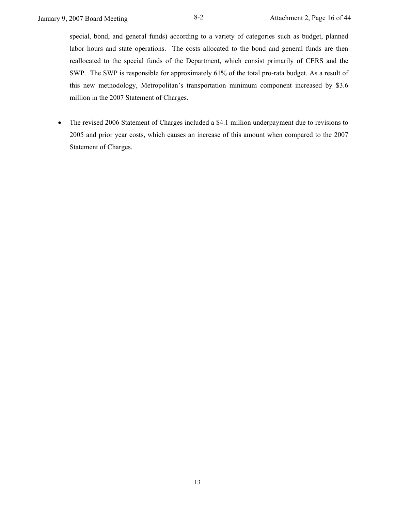special, bond, and general funds) according to a variety of categories such as budget, planned labor hours and state operations. The costs allocated to the bond and general funds are then reallocated to the special funds of the Department, which consist primarily of CERS and the SWP. The SWP is responsible for approximately 61% of the total pro-rata budget. As a result of this new methodology, Metropolitan's transportation minimum component increased by \$3.6 million in the 2007 Statement of Charges.

• The revised 2006 Statement of Charges included a \$4.1 million underpayment due to revisions to 2005 and prior year costs, which causes an increase of this amount when compared to the 2007 Statement of Charges.

13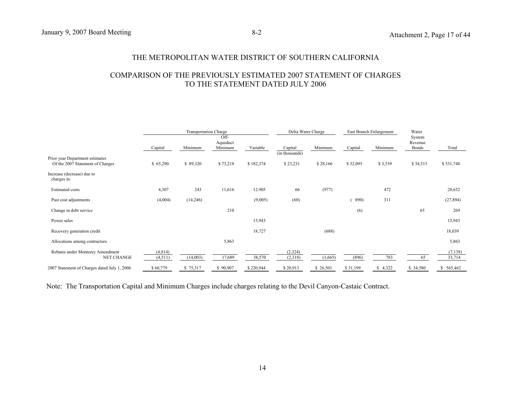### THE METROPOLITAN WATER DISTRICT OF SOUTHERN CALIFORNIA

### COMPARISON OF THE PREVIOUSLY ESTIMATED 2007 STATEMENT OF CHARGES TO THE STATEMENT DATED JULY 2006

|                                                                     |                    | Transportation Charge | Off-                |           | Delta Water Charge        |          |          | East Branch Enlargement | Water<br>System  |                   |
|---------------------------------------------------------------------|--------------------|-----------------------|---------------------|-----------|---------------------------|----------|----------|-------------------------|------------------|-------------------|
|                                                                     | Capital            | Minimum               | Aqueduct<br>Minimum | Variable  | Capital<br>(in thousands) | Minimum  | Capital  | Minimum                 | Revenue<br>Bonds | Total             |
| Prior year Department estimates<br>Of the 2007 Statement of Charges | \$65,290           | \$89,320              | \$73,218            | \$182,374 | \$23,231                  | \$28,166 | \$32,095 | \$3,539                 | \$34,515         | \$531,748         |
| Increase (decrease) due to<br>charges in:                           |                    |                       |                     |           |                           |          |          |                         |                  |                   |
| <b>Estimated costs</b>                                              | 4,307              | 243                   | 11,616              | 12.905    | 66                        | (977)    |          | 472                     |                  | 28,632            |
| Past cost adjustments                                               | (4,004)            | (14,246)              |                     | (9,005)   | (60)                      |          | 890)     | 311                     |                  | (27, 894)         |
| Change in debt service                                              |                    |                       | 210                 |           |                           |          | (6)      |                         | 65               | 269               |
| Power sales                                                         |                    |                       |                     | 15,943    |                           |          |          |                         |                  | 15,943            |
| Recovery generation credit                                          |                    |                       |                     | 18,727    |                           | (688)    |          |                         |                  | 18,039            |
| Allocations among contractors                                       |                    |                       | 5,863               |           |                           |          |          |                         |                  | 5,863             |
| Rebates under Monterey Amendment<br>NET CHANGE                      | (4,814)<br>(4,511) | (14,003)              | 17,689              | 38,570    | (2,324)<br>(2,318)        | (1,665)  | (896)    | 783                     | 65               | (7,138)<br>33,714 |
| 2007 Statement of Charges dated July 1, 2006                        | \$60,779           | \$75,317              | \$90,907            | \$220,944 | \$20,913                  | \$26,501 | \$31,199 | \$4,322                 | \$ 34,580        | \$ 565,462        |

Note: The Transportation Capital and Minimum Charges include charges relating to the Devil Canyon-Castaic Contract.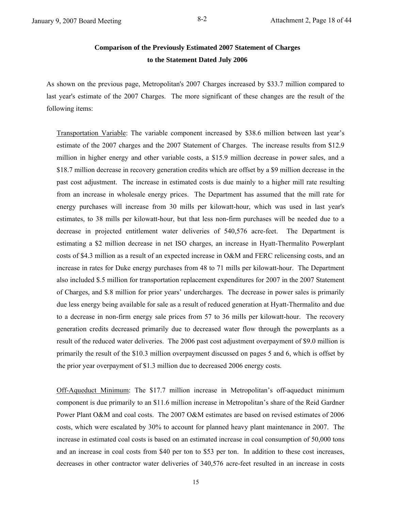# **Comparison of the Previously Estimated 2007 Statement of Charges to the Statement Dated July 2006**

As shown on the previous page, Metropolitan's 2007 Charges increased by \$33.7 million compared to last year's estimate of the 2007 Charges. The more significant of these changes are the result of the following items:

Transportation Variable: The variable component increased by \$38.6 million between last year's estimate of the 2007 charges and the 2007 Statement of Charges. The increase results from \$12.9 million in higher energy and other variable costs, a \$15.9 million decrease in power sales, and a \$18.7 million decrease in recovery generation credits which are offset by a \$9 million decrease in the past cost adjustment. The increase in estimated costs is due mainly to a higher mill rate resulting from an increase in wholesale energy prices. The Department has assumed that the mill rate for energy purchases will increase from 30 mills per kilowatt-hour, which was used in last year's estimates, to 38 mills per kilowatt-hour, but that less non-firm purchases will be needed due to a decrease in projected entitlement water deliveries of 540,576 acre-feet. The Department is estimating a \$2 million decrease in net ISO charges, an increase in Hyatt-Thermalito Powerplant costs of \$4.3 million as a result of an expected increase in O&M and FERC relicensing costs, and an increase in rates for Duke energy purchases from 48 to 71 mills per kilowatt-hour. The Department also included \$.5 million for transportation replacement expenditures for 2007 in the 2007 Statement of Charges, and \$.8 million for prior years' undercharges. The decrease in power sales is primarily due less energy being available for sale as a result of reduced generation at Hyatt-Thermalito and due to a decrease in non-firm energy sale prices from 57 to 36 mills per kilowatt-hour. The recovery generation credits decreased primarily due to decreased water flow through the powerplants as a result of the reduced water deliveries. The 2006 past cost adjustment overpayment of \$9.0 million is primarily the result of the \$10.3 million overpayment discussed on pages 5 and 6, which is offset by the prior year overpayment of \$1.3 million due to decreased 2006 energy costs.

Off-Aqueduct Minimum: The \$17.7 million increase in Metropolitan's off-aqueduct minimum component is due primarily to an \$11.6 million increase in Metropolitan's share of the Reid Gardner Power Plant O&M and coal costs. The 2007 O&M estimates are based on revised estimates of 2006 costs, which were escalated by 30% to account for planned heavy plant maintenance in 2007. The increase in estimated coal costs is based on an estimated increase in coal consumption of 50,000 tons and an increase in coal costs from \$40 per ton to \$53 per ton. In addition to these cost increases, decreases in other contractor water deliveries of 340,576 acre-feet resulted in an increase in costs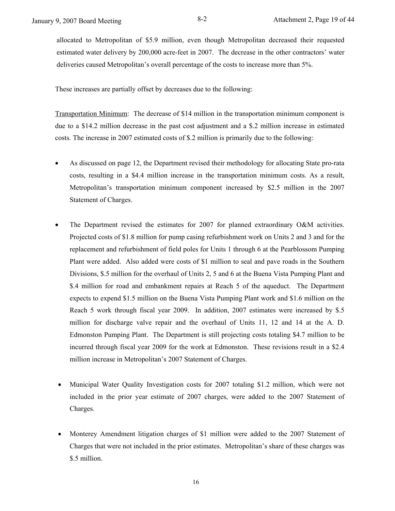allocated to Metropolitan of \$5.9 million, even though Metropolitan decreased their requested estimated water delivery by 200,000 acre-feet in 2007. The decrease in the other contractors' water deliveries caused Metropolitan's overall percentage of the costs to increase more than 5%.

These increases are partially offset by decreases due to the following:

Transportation Minimum: The decrease of \$14 million in the transportation minimum component is due to a \$14.2 million decrease in the past cost adjustment and a \$.2 million increase in estimated costs. The increase in 2007 estimated costs of \$.2 million is primarily due to the following:

- As discussed on page 12, the Department revised their methodology for allocating State pro-rata costs, resulting in a \$4.4 million increase in the transportation minimum costs. As a result, Metropolitan's transportation minimum component increased by \$2.5 million in the 2007 Statement of Charges.
- The Department revised the estimates for 2007 for planned extraordinary O&M activities. Projected costs of \$1.8 million for pump casing refurbishment work on Units 2 and 3 and for the replacement and refurbishment of field poles for Units 1 through 6 at the Pearblossom Pumping Plant were added. Also added were costs of \$1 million to seal and pave roads in the Southern Divisions, \$.5 million for the overhaul of Units 2, 5 and 6 at the Buena Vista Pumping Plant and \$.4 million for road and embankment repairs at Reach 5 of the aqueduct. The Department expects to expend \$1.5 million on the Buena Vista Pumping Plant work and \$1.6 million on the Reach 5 work through fiscal year 2009. In addition, 2007 estimates were increased by \$.5 million for discharge valve repair and the overhaul of Units 11, 12 and 14 at the A. D. Edmonston Pumping Plant. The Department is still projecting costs totaling \$4.7 million to be incurred through fiscal year 2009 for the work at Edmonston. These revisions result in a \$2.4 million increase in Metropolitan's 2007 Statement of Charges.
- Municipal Water Quality Investigation costs for 2007 totaling \$1.2 million, which were not included in the prior year estimate of 2007 charges, were added to the 2007 Statement of Charges.
- Monterey Amendment litigation charges of \$1 million were added to the 2007 Statement of Charges that were not included in the prior estimates. Metropolitan's share of these charges was \$.5 million.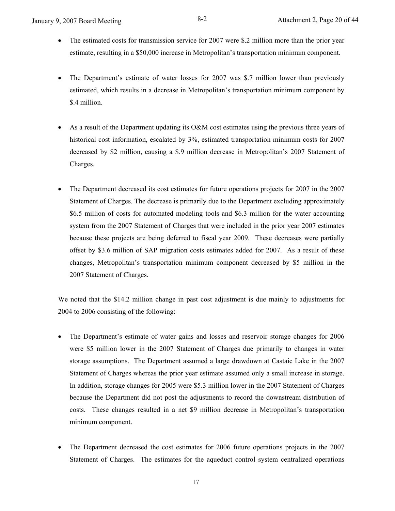- The estimated costs for transmission service for 2007 were \$.2 million more than the prior year estimate, resulting in a \$50,000 increase in Metropolitan's transportation minimum component.
- The Department's estimate of water losses for 2007 was \$.7 million lower than previously estimated, which results in a decrease in Metropolitan's transportation minimum component by \$.4 million.
- As a result of the Department updating its O&M cost estimates using the previous three years of historical cost information, escalated by 3%, estimated transportation minimum costs for 2007 decreased by \$2 million, causing a \$.9 million decrease in Metropolitan's 2007 Statement of Charges.
- The Department decreased its cost estimates for future operations projects for 2007 in the 2007 Statement of Charges. The decrease is primarily due to the Department excluding approximately \$6.5 million of costs for automated modeling tools and \$6.3 million for the water accounting system from the 2007 Statement of Charges that were included in the prior year 2007 estimates because these projects are being deferred to fiscal year 2009. These decreases were partially offset by \$3.6 million of SAP migration costs estimates added for 2007. As a result of these changes, Metropolitan's transportation minimum component decreased by \$5 million in the 2007 Statement of Charges.

We noted that the \$14.2 million change in past cost adjustment is due mainly to adjustments for 2004 to 2006 consisting of the following:

- The Department's estimate of water gains and losses and reservoir storage changes for 2006 were \$5 million lower in the 2007 Statement of Charges due primarily to changes in water storage assumptions. The Department assumed a large drawdown at Castaic Lake in the 2007 Statement of Charges whereas the prior year estimate assumed only a small increase in storage. In addition, storage changes for 2005 were \$5.3 million lower in the 2007 Statement of Charges because the Department did not post the adjustments to record the downstream distribution of costs. These changes resulted in a net \$9 million decrease in Metropolitan's transportation minimum component.
- The Department decreased the cost estimates for 2006 future operations projects in the 2007 Statement of Charges. The estimates for the aqueduct control system centralized operations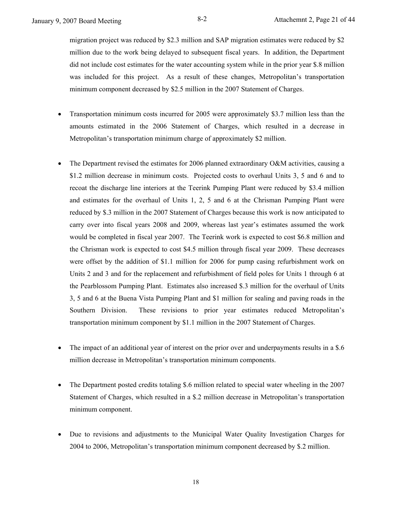migration project was reduced by \$2.3 million and SAP migration estimates were reduced by \$2 million due to the work being delayed to subsequent fiscal years. In addition, the Department did not include cost estimates for the water accounting system while in the prior year \$.8 million was included for this project. As a result of these changes, Metropolitan's transportation minimum component decreased by \$2.5 million in the 2007 Statement of Charges.

- Transportation minimum costs incurred for 2005 were approximately \$3.7 million less than the amounts estimated in the 2006 Statement of Charges, which resulted in a decrease in Metropolitan's transportation minimum charge of approximately \$2 million.
- The Department revised the estimates for 2006 planned extraordinary O&M activities, causing a \$1.2 million decrease in minimum costs. Projected costs to overhaul Units 3, 5 and 6 and to recoat the discharge line interiors at the Teerink Pumping Plant were reduced by \$3.4 million and estimates for the overhaul of Units 1, 2, 5 and 6 at the Chrisman Pumping Plant were reduced by \$.3 million in the 2007 Statement of Charges because this work is now anticipated to carry over into fiscal years 2008 and 2009, whereas last year's estimates assumed the work would be completed in fiscal year 2007. The Teerink work is expected to cost \$6.8 million and the Chrisman work is expected to cost \$4.5 million through fiscal year 2009. These decreases were offset by the addition of \$1.1 million for 2006 for pump casing refurbishment work on Units 2 and 3 and for the replacement and refurbishment of field poles for Units 1 through 6 at the Pearblossom Pumping Plant. Estimates also increased \$.3 million for the overhaul of Units 3, 5 and 6 at the Buena Vista Pumping Plant and \$1 million for sealing and paving roads in the Southern Division. These revisions to prior year estimates reduced Metropolitan's transportation minimum component by \$1.1 million in the 2007 Statement of Charges.
- The impact of an additional year of interest on the prior over and underpayments results in a \$.6 million decrease in Metropolitan's transportation minimum components.
- The Department posted credits totaling \$.6 million related to special water wheeling in the 2007 Statement of Charges, which resulted in a \$.2 million decrease in Metropolitan's transportation minimum component.
- Due to revisions and adjustments to the Municipal Water Quality Investigation Charges for 2004 to 2006, Metropolitan's transportation minimum component decreased by \$.2 million.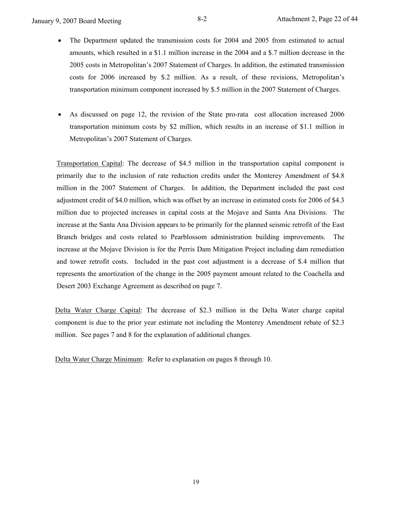- The Department updated the transmission costs for 2004 and 2005 from estimated to actual amounts, which resulted in a \$1.1 million increase in the 2004 and a \$.7 million decrease in the 2005 costs in Metropolitan's 2007 Statement of Charges. In addition, the estimated transmission costs for 2006 increased by \$.2 million. As a result, of these revisions, Metropolitan's transportation minimum component increased by \$.5 million in the 2007 Statement of Charges.
- As discussed on page 12, the revision of the State pro-rata cost allocation increased 2006 transportation minimum costs by \$2 million, which results in an increase of \$1.1 million in Metropolitan's 2007 Statement of Charges.

Transportation Capital: The decrease of \$4.5 million in the transportation capital component is primarily due to the inclusion of rate reduction credits under the Monterey Amendment of \$4.8 million in the 2007 Statement of Charges. In addition, the Department included the past cost adjustment credit of \$4.0 million, which was offset by an increase in estimated costs for 2006 of \$4.3 million due to projected increases in capital costs at the Mojave and Santa Ana Divisions. The increase at the Santa Ana Division appears to be primarily for the planned seismic retrofit of the East Branch bridges and costs related to Pearblossom administration building improvements. The increase at the Mojave Division is for the Perris Dam Mitigation Project including dam remediation and tower retrofit costs. Included in the past cost adjustment is a decrease of \$.4 million that represents the amortization of the change in the 2005 payment amount related to the Coachella and Desert 2003 Exchange Agreement as described on page 7.

Delta Water Charge Capital: The decrease of \$2.3 million in the Delta Water charge capital component is due to the prior year estimate not including the Monterey Amendment rebate of \$2.3 million. See pages 7 and 8 for the explanation of additional changes.

Delta Water Charge Minimum: Refer to explanation on pages 8 through 10.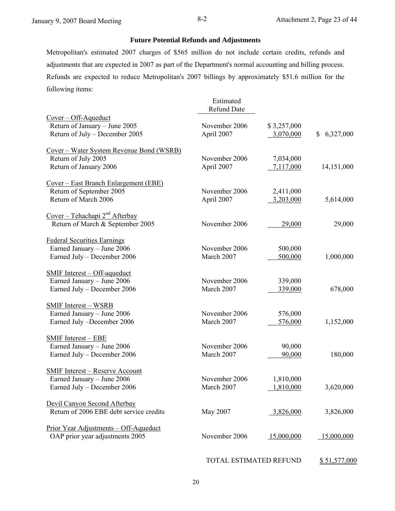### **Future Potential Refunds and Adjustments**

Metropolitan's estimated 2007 charges of \$565 million do not include certain credits, refunds and adjustments that are expected in 2007 as part of the Department's normal accounting and billing process. Refunds are expected to reduce Metropolitan's 2007 billings by approximately \$51.6 million for the following items:

|                                                  | Estimated<br><b>Refund Date</b> |             |             |
|--------------------------------------------------|---------------------------------|-------------|-------------|
| $Cover - Off-Aqueduct$                           |                                 |             |             |
| Return of January - June 2005                    | November 2006                   | \$3,257,000 |             |
| Return of July - December 2005                   | April 2007                      | 3,070,000   | \$6,327,000 |
| <u>Cover – Water System Revenue Bond (WSRB)</u>  |                                 |             |             |
| Return of July 2005                              | November 2006                   | 7,034,000   |             |
| Return of January 2006                           | April 2007                      | 7,117,000   | 14,151,000  |
| <u> Cover – East Branch Enlargement (EBE)</u>    |                                 |             |             |
| Return of September 2005                         | November 2006                   | 2,411,000   |             |
| Return of March 2006                             | April 2007                      | 3,203,000   | 5,614,000   |
| <u>Cover – Tehachapi 2<sup>nd</sup> Afterbay</u> |                                 |             |             |
| Return of March & September 2005                 | November 2006                   | 29,000      | 29,000      |
| <b>Federal Securities Earnings</b>               |                                 |             |             |
| Earned January - June 2006                       | November 2006                   | 500,000     |             |
| Earned July - December 2006                      | March 2007                      | 500,000     | 1,000,000   |
| <b>SMIF Interest - Off-aqueduct</b>              |                                 |             |             |
| Earned January - June 2006                       | November 2006                   | 339,000     |             |
| Earned July - December 2006                      | March 2007                      | 339,000     | 678,000     |
| <b>SMIF Interest - WSRB</b>                      |                                 |             |             |
| Earned January - June 2006                       | November 2006                   | 576,000     |             |
| Earned July -December 2006                       | March 2007                      | 576,000     | 1,152,000   |
| <b>SMIF Interest - EBE</b>                       |                                 |             |             |
| Earned January - June 2006                       | November 2006                   | 90,000      |             |
| Earned July - December 2006                      | March 2007                      | 90,000      | 180,000     |
| <b>SMIF Interest - Reserve Account</b>           |                                 |             |             |
| Earned January - June 2006                       | November 2006                   | 1,810,000   |             |
| Earned July - December 2006                      | March 2007                      | 1,810,000   | 3,620,000   |
| Devil Canyon Second Afterbay                     |                                 |             |             |
| Return of 2006 EBE debt service credits          | May 2007                        | 3,826,000   | 3,826,000   |
| <u>Prior Year Adjustments – Off-Aqueduct</u>     |                                 |             |             |
| OAP prior year adjustments 2005                  | November 2006                   | 15,000,000  | 15,000,000  |
|                                                  |                                 |             |             |

TOTAL ESTIMATED REFUND \$51,577,000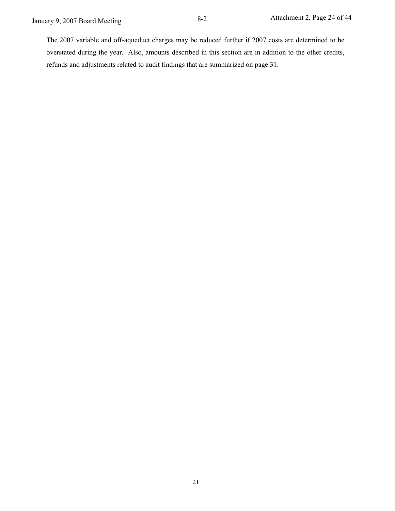The 2007 variable and off-aqueduct charges may be reduced further if 2007 costs are determined to be overstated during the year. Also, amounts described in this section are in addition to the other credits, refunds and adjustments related to audit findings that are summarized on page 31.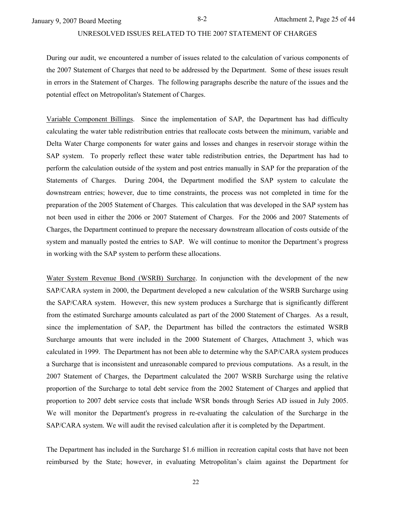### UNRESOLVED ISSUES RELATED TO THE 2007 STATEMENT OF CHARGES

During our audit, we encountered a number of issues related to the calculation of various components of the 2007 Statement of Charges that need to be addressed by the Department. Some of these issues result in errors in the Statement of Charges. The following paragraphs describe the nature of the issues and the potential effect on Metropolitan's Statement of Charges.

Variable Component Billings. Since the implementation of SAP, the Department has had difficulty calculating the water table redistribution entries that reallocate costs between the minimum, variable and Delta Water Charge components for water gains and losses and changes in reservoir storage within the SAP system. To properly reflect these water table redistribution entries, the Department has had to perform the calculation outside of the system and post entries manually in SAP for the preparation of the Statements of Charges. During 2004, the Department modified the SAP system to calculate the downstream entries; however, due to time constraints, the process was not completed in time for the preparation of the 2005 Statement of Charges. This calculation that was developed in the SAP system has not been used in either the 2006 or 2007 Statement of Charges. For the 2006 and 2007 Statements of Charges, the Department continued to prepare the necessary downstream allocation of costs outside of the system and manually posted the entries to SAP. We will continue to monitor the Department's progress in working with the SAP system to perform these allocations.

Water System Revenue Bond (WSRB) Surcharge. In conjunction with the development of the new SAP/CARA system in 2000, the Department developed a new calculation of the WSRB Surcharge using the SAP/CARA system. However, this new system produces a Surcharge that is significantly different from the estimated Surcharge amounts calculated as part of the 2000 Statement of Charges. As a result, since the implementation of SAP, the Department has billed the contractors the estimated WSRB Surcharge amounts that were included in the 2000 Statement of Charges, Attachment 3, which was calculated in 1999. The Department has not been able to determine why the SAP/CARA system produces a Surcharge that is inconsistent and unreasonable compared to previous computations. As a result, in the 2007 Statement of Charges, the Department calculated the 2007 WSRB Surcharge using the relative proportion of the Surcharge to total debt service from the 2002 Statement of Charges and applied that proportion to 2007 debt service costs that include WSR bonds through Series AD issued in July 2005. We will monitor the Department's progress in re-evaluating the calculation of the Surcharge in the SAP/CARA system. We will audit the revised calculation after it is completed by the Department.

The Department has included in the Surcharge \$1.6 million in recreation capital costs that have not been reimbursed by the State; however, in evaluating Metropolitan's claim against the Department for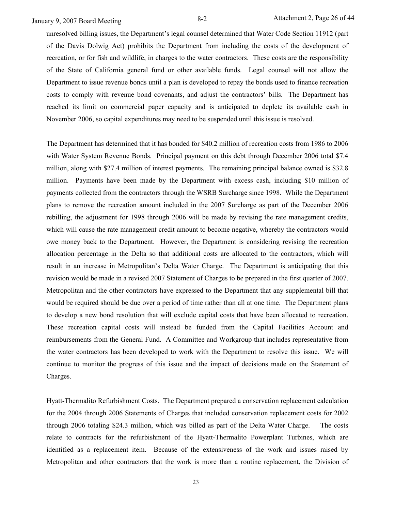unresolved billing issues, the Department's legal counsel determined that Water Code Section 11912 (part of the Davis Dolwig Act) prohibits the Department from including the costs of the development of recreation, or for fish and wildlife, in charges to the water contractors. These costs are the responsibility of the State of California general fund or other available funds. Legal counsel will not allow the Department to issue revenue bonds until a plan is developed to repay the bonds used to finance recreation costs to comply with revenue bond covenants, and adjust the contractors' bills. The Department has reached its limit on commercial paper capacity and is anticipated to deplete its available cash in November 2006, so capital expenditures may need to be suspended until this issue is resolved.

The Department has determined that it has bonded for \$40.2 million of recreation costs from 1986 to 2006 with Water System Revenue Bonds. Principal payment on this debt through December 2006 total \$7.4 million, along with \$27.4 million of interest payments. The remaining principal balance owned is \$32.8 million. Payments have been made by the Department with excess cash, including \$10 million of payments collected from the contractors through the WSRB Surcharge since 1998. While the Department plans to remove the recreation amount included in the 2007 Surcharge as part of the December 2006 rebilling, the adjustment for 1998 through 2006 will be made by revising the rate management credits, which will cause the rate management credit amount to become negative, whereby the contractors would owe money back to the Department. However, the Department is considering revising the recreation allocation percentage in the Delta so that additional costs are allocated to the contractors, which will result in an increase in Metropolitan's Delta Water Charge. The Department is anticipating that this revision would be made in a revised 2007 Statement of Charges to be prepared in the first quarter of 2007. Metropolitan and the other contractors have expressed to the Department that any supplemental bill that would be required should be due over a period of time rather than all at one time. The Department plans to develop a new bond resolution that will exclude capital costs that have been allocated to recreation. These recreation capital costs will instead be funded from the Capital Facilities Account and reimbursements from the General Fund. A Committee and Workgroup that includes representative from the water contractors has been developed to work with the Department to resolve this issue. We will continue to monitor the progress of this issue and the impact of decisions made on the Statement of Charges.

Hyatt-Thermalito Refurbishment Costs. The Department prepared a conservation replacement calculation for the 2004 through 2006 Statements of Charges that included conservation replacement costs for 2002 through 2006 totaling \$24.3 million, which was billed as part of the Delta Water Charge. The costs relate to contracts for the refurbishment of the Hyatt-Thermalito Powerplant Turbines, which are identified as a replacement item. Because of the extensiveness of the work and issues raised by Metropolitan and other contractors that the work is more than a routine replacement, the Division of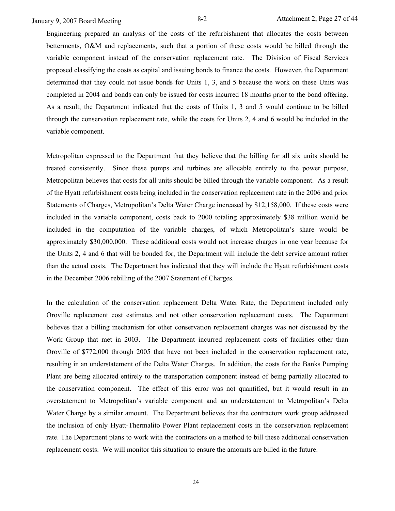Engineering prepared an analysis of the costs of the refurbishment that allocates the costs between betterments, O&M and replacements, such that a portion of these costs would be billed through the variable component instead of the conservation replacement rate. The Division of Fiscal Services proposed classifying the costs as capital and issuing bonds to finance the costs. However, the Department determined that they could not issue bonds for Units 1, 3, and 5 because the work on these Units was completed in 2004 and bonds can only be issued for costs incurred 18 months prior to the bond offering. As a result, the Department indicated that the costs of Units 1, 3 and 5 would continue to be billed through the conservation replacement rate, while the costs for Units 2, 4 and 6 would be included in the variable component.

Metropolitan expressed to the Department that they believe that the billing for all six units should be treated consistently. Since these pumps and turbines are allocable entirely to the power purpose, Metropolitan believes that costs for all units should be billed through the variable component. As a result of the Hyatt refurbishment costs being included in the conservation replacement rate in the 2006 and prior Statements of Charges, Metropolitan's Delta Water Charge increased by \$12,158,000. If these costs were included in the variable component, costs back to 2000 totaling approximately \$38 million would be included in the computation of the variable charges, of which Metropolitan's share would be approximately \$30,000,000. These additional costs would not increase charges in one year because for the Units 2, 4 and 6 that will be bonded for, the Department will include the debt service amount rather than the actual costs. The Department has indicated that they will include the Hyatt refurbishment costs in the December 2006 rebilling of the 2007 Statement of Charges.

In the calculation of the conservation replacement Delta Water Rate, the Department included only Oroville replacement cost estimates and not other conservation replacement costs. The Department believes that a billing mechanism for other conservation replacement charges was not discussed by the Work Group that met in 2003. The Department incurred replacement costs of facilities other than Oroville of \$772,000 through 2005 that have not been included in the conservation replacement rate, resulting in an understatement of the Delta Water Charges. In addition, the costs for the Banks Pumping Plant are being allocated entirely to the transportation component instead of being partially allocated to the conservation component. The effect of this error was not quantified, but it would result in an overstatement to Metropolitan's variable component and an understatement to Metropolitan's Delta Water Charge by a similar amount. The Department believes that the contractors work group addressed the inclusion of only Hyatt-Thermalito Power Plant replacement costs in the conservation replacement rate. The Department plans to work with the contractors on a method to bill these additional conservation replacement costs. We will monitor this situation to ensure the amounts are billed in the future.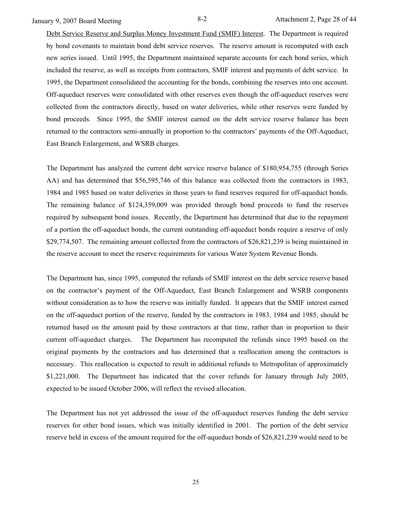January 9, 2007 Board Meeting 8-2 Attachment 2, Page 28 of 44

Debt Service Reserve and Surplus Money Investment Fund (SMIF) Interest. The Department is required by bond covenants to maintain bond debt service reserves. The reserve amount is recomputed with each new series issued. Until 1995, the Department maintained separate accounts for each bond series, which included the reserve, as well as receipts from contractors, SMIF interest and payments of debt service. In 1995, the Department consolidated the accounting for the bonds, combining the reserves into one account. Off-aqueduct reserves were consolidated with other reserves even though the off-aqueduct reserves were collected from the contractors directly, based on water deliveries, while other reserves were funded by bond proceeds. Since 1995, the SMIF interest earned on the debt service reserve balance has been returned to the contractors semi-annually in proportion to the contractors' payments of the Off-Aqueduct, East Branch Enlargement, and WSRB charges.

The Department has analyzed the current debt service reserve balance of \$180,954,755 (through Series AA) and has determined that \$56,595,746 of this balance was collected from the contractors in 1983, 1984 and 1985 based on water deliveries in those years to fund reserves required for off-aqueduct bonds. The remaining balance of \$124,359,009 was provided through bond proceeds to fund the reserves required by subsequent bond issues. Recently, the Department has determined that due to the repayment of a portion the off-aqueduct bonds, the current outstanding off-aqueduct bonds require a reserve of only \$29,774,507. The remaining amount collected from the contractors of \$26,821,239 is being maintained in the reserve account to meet the reserve requirements for various Water System Revenue Bonds.

The Department has, since 1995, computed the refunds of SMIF interest on the debt service reserve based on the contractor's payment of the Off-Aqueduct, East Branch Enlargement and WSRB components without consideration as to how the reserve was initially funded. It appears that the SMIF interest earned on the off-aqueduct portion of the reserve, funded by the contractors in 1983, 1984 and 1985, should be returned based on the amount paid by those contractors at that time, rather than in proportion to their current off-aqueduct charges. The Department has recomputed the refunds since 1995 based on the original payments by the contractors and has determined that a reallocation among the contractors is necessary. This reallocation is expected to result in additional refunds to Metropolitan of approximately \$1,221,000. The Department has indicated that the cover refunds for January through July 2005, expected to be issued October 2006, will reflect the revised allocation.

The Department has not yet addressed the issue of the off-aqueduct reserves funding the debt service reserves for other bond issues, which was initially identified in 2001. The portion of the debt service reserve held in excess of the amount required for the off-aqueduct bonds of \$26,821,239 would need to be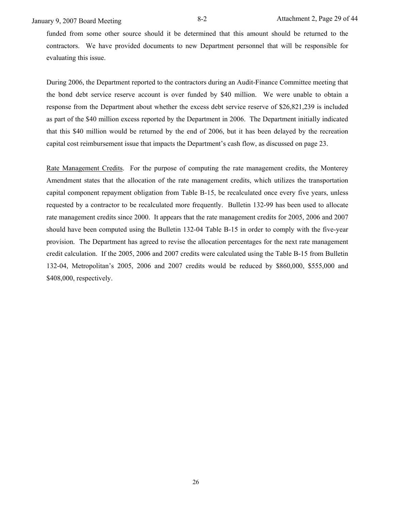January 9, 2007 Board Meeting 8-2 Attachment 2, Page 29 of 44

funded from some other source should it be determined that this amount should be returned to the contractors. We have provided documents to new Department personnel that will be responsible for evaluating this issue.

During 2006, the Department reported to the contractors during an Audit-Finance Committee meeting that the bond debt service reserve account is over funded by \$40 million. We were unable to obtain a response from the Department about whether the excess debt service reserve of \$26,821,239 is included as part of the \$40 million excess reported by the Department in 2006. The Department initially indicated that this \$40 million would be returned by the end of 2006, but it has been delayed by the recreation capital cost reimbursement issue that impacts the Department's cash flow, as discussed on page 23.

Rate Management Credits. For the purpose of computing the rate management credits, the Monterey Amendment states that the allocation of the rate management credits, which utilizes the transportation capital component repayment obligation from Table B-15, be recalculated once every five years, unless requested by a contractor to be recalculated more frequently. Bulletin 132-99 has been used to allocate rate management credits since 2000. It appears that the rate management credits for 2005, 2006 and 2007 should have been computed using the Bulletin 132-04 Table B-15 in order to comply with the five-year provision. The Department has agreed to revise the allocation percentages for the next rate management credit calculation. If the 2005, 2006 and 2007 credits were calculated using the Table B-15 from Bulletin 132-04, Metropolitan's 2005, 2006 and 2007 credits would be reduced by \$860,000, \$555,000 and \$408,000, respectively.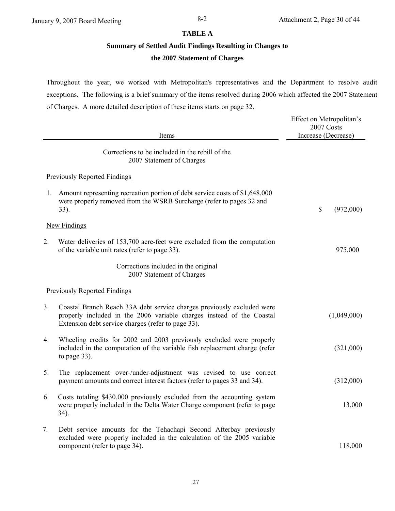### **TABLE A**

### **Summary of Settled Audit Findings Resulting in Changes to**

# **the 2007 Statement of Charges**

Throughout the year, we worked with Metropolitan's representatives and the Department to resolve audit exceptions. The following is a brief summary of the items resolved during 2006 which affected the 2007 Statement of Charges. A more detailed description of these items starts on page 32.

|    | Items                                                                                                                                                                                                 | Effect on Metropolitan's<br>2007 Costs<br>Increase (Decrease) |
|----|-------------------------------------------------------------------------------------------------------------------------------------------------------------------------------------------------------|---------------------------------------------------------------|
|    | Corrections to be included in the rebill of the<br>2007 Statement of Charges                                                                                                                          |                                                               |
|    | <b>Previously Reported Findings</b>                                                                                                                                                                   |                                                               |
| 1. | Amount representing recreation portion of debt service costs of \$1,648,000<br>were properly removed from the WSRB Surcharge (refer to pages 32 and<br>33).                                           | \$<br>(972,000)                                               |
|    | New Findings                                                                                                                                                                                          |                                                               |
| 2. | Water deliveries of 153,700 acre-feet were excluded from the computation<br>of the variable unit rates (refer to page 33).                                                                            | 975,000                                                       |
|    | Corrections included in the original<br>2007 Statement of Charges                                                                                                                                     |                                                               |
|    | <b>Previously Reported Findings</b>                                                                                                                                                                   |                                                               |
| 3. | Coastal Branch Reach 33A debt service charges previously excluded were<br>properly included in the 2006 variable charges instead of the Coastal<br>Extension debt service charges (refer to page 33). | (1,049,000)                                                   |
| 4. | Wheeling credits for 2002 and 2003 previously excluded were properly<br>included in the computation of the variable fish replacement charge (refer<br>to page 33).                                    | (321,000)                                                     |
| 5. | The replacement over-/under-adjustment was revised to use correct<br>payment amounts and correct interest factors (refer to pages 33 and 34).                                                         | (312,000)                                                     |
| 6. | Costs totaling \$430,000 previously excluded from the accounting system<br>were properly included in the Delta Water Charge component (refer to page<br>$34)$ .                                       | 13,000                                                        |
| 7. | Debt service amounts for the Tehachapi Second Afterbay previously<br>excluded were properly included in the calculation of the 2005 variable<br>component (refer to page 34).                         | 118,000                                                       |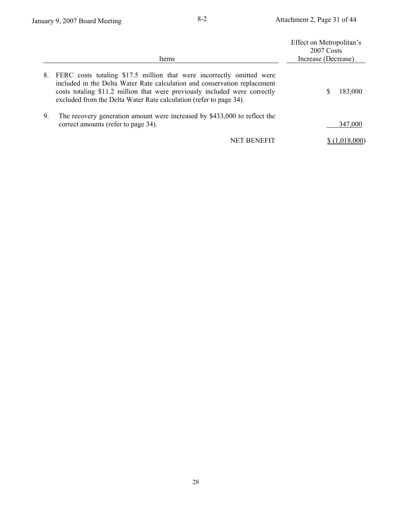|    | <b>Items</b>                                                                                                                                                                                                                                                                                           | Effect on Metropolitan's<br>2007 Costs<br>Increase (Decrease) |
|----|--------------------------------------------------------------------------------------------------------------------------------------------------------------------------------------------------------------------------------------------------------------------------------------------------------|---------------------------------------------------------------|
| 8. | FERC costs totaling \$17.5 million that were incorrectly omitted were<br>included in the Delta Water Rate calculation and conservation replacement<br>costs totaling \$11.2 million that were previously included were correctly<br>excluded from the Delta Water Rate calculation (refer to page 34). | 183,000<br>S                                                  |
| 9. | The recovery generation amount were increased by \$433,000 to reflect the<br>correct amounts (refer to page 34).                                                                                                                                                                                       | 347,000                                                       |
|    | NET BENEFIT                                                                                                                                                                                                                                                                                            |                                                               |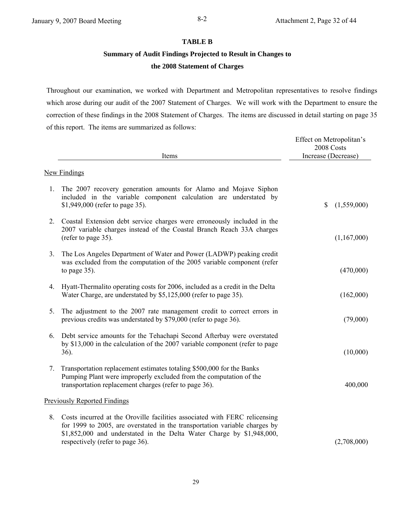### **TABLE B**

# **Summary of Audit Findings Projected to Result in Changes to the 2008 Statement of Charges**

Throughout our examination, we worked with Department and Metropolitan representatives to resolve findings which arose during our audit of the 2007 Statement of Charges. We will work with the Department to ensure the correction of these findings in the 2008 Statement of Charges. The items are discussed in detail starting on page 35 of this report. The items are summarized as follows:

|    | Items                                                                                                                                                                                                                                                                 | Effect on Metropolitan's<br>2008 Costs<br>Increase (Decrease) |
|----|-----------------------------------------------------------------------------------------------------------------------------------------------------------------------------------------------------------------------------------------------------------------------|---------------------------------------------------------------|
|    | <b>New Findings</b>                                                                                                                                                                                                                                                   |                                                               |
| 1. | The 2007 recovery generation amounts for Alamo and Mojave Siphon<br>included in the variable component calculation are understated by<br>\$1,949,000 (refer to page 35).                                                                                              | \$<br>(1,559,000)                                             |
| 2. | Coastal Extension debt service charges were erroneously included in the<br>2007 variable charges instead of the Coastal Branch Reach 33A charges<br>(refer to page 35).                                                                                               | (1,167,000)                                                   |
| 3. | The Los Angeles Department of Water and Power (LADWP) peaking credit<br>was excluded from the computation of the 2005 variable component (refer<br>to page $35$ ).                                                                                                    | (470,000)                                                     |
| 4. | Hyatt-Thermalito operating costs for 2006, included as a credit in the Delta<br>Water Charge, are understated by \$5,125,000 (refer to page 35).                                                                                                                      | (162,000)                                                     |
| 5. | The adjustment to the 2007 rate management credit to correct errors in<br>previous credits was understated by \$79,000 (refer to page 36).                                                                                                                            | (79,000)                                                      |
| 6. | Debt service amounts for the Tehachapi Second Afterbay were overstated<br>by \$13,000 in the calculation of the 2007 variable component (refer to page<br>36).                                                                                                        | (10,000)                                                      |
| 7. | Transportation replacement estimates totaling \$500,000 for the Banks<br>Pumping Plant were improperly excluded from the computation of the<br>transportation replacement charges (refer to page 36).                                                                 | 400,000                                                       |
|    | <b>Previously Reported Findings</b>                                                                                                                                                                                                                                   |                                                               |
| 8. | Costs incurred at the Oroville facilities associated with FERC relicensing<br>for 1999 to 2005, are overstated in the transportation variable charges by<br>\$1,852,000 and understated in the Delta Water Charge by \$1,948,000,<br>respectively (refer to page 36). | (2,708,000)                                                   |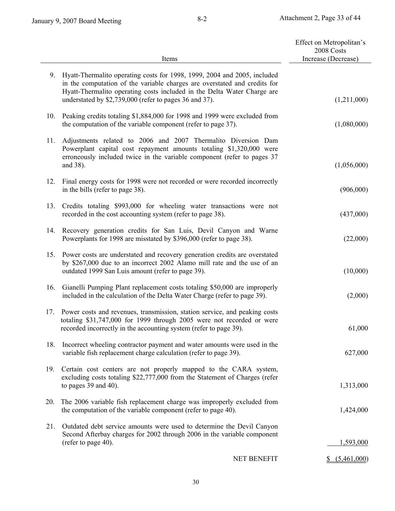|     |                                                                                                                                                                                                                                                                                            | Effect on Metropolitan's<br>2008 Costs |
|-----|--------------------------------------------------------------------------------------------------------------------------------------------------------------------------------------------------------------------------------------------------------------------------------------------|----------------------------------------|
|     | Items                                                                                                                                                                                                                                                                                      | Increase (Decrease)                    |
| 9.  | Hyatt-Thermalito operating costs for 1998, 1999, 2004 and 2005, included<br>in the computation of the variable charges are overstated and credits for<br>Hyatt-Thermalito operating costs included in the Delta Water Charge are<br>understated by \$2,739,000 (refer to pages 36 and 37). | (1,211,000)                            |
| 10. | Peaking credits totaling \$1,884,000 for 1998 and 1999 were excluded from<br>the computation of the variable component (refer to page 37).                                                                                                                                                 | (1,080,000)                            |
| 11. | Adjustments related to 2006 and 2007 Thermalito Diversion Dam<br>Powerplant capital cost repayment amounts totaling \$1,320,000 were<br>erroneously included twice in the variable component (refer to pages 37<br>and 38).                                                                | (1,056,000)                            |
| 12. | Final energy costs for 1998 were not recorded or were recorded incorrectly<br>in the bills (refer to page 38).                                                                                                                                                                             | (906,000)                              |
| 13. | Credits totaling \$993,000 for wheeling water transactions were not<br>recorded in the cost accounting system (refer to page 38).                                                                                                                                                          | (437,000)                              |
| 14. | Recovery generation credits for San Luis, Devil Canyon and Warne<br>Powerplants for 1998 are misstated by \$396,000 (refer to page 38).                                                                                                                                                    | (22,000)                               |
| 15. | Power costs are understated and recovery generation credits are overstated<br>by \$267,000 due to an incorrect 2002 Alamo mill rate and the use of an<br>outdated 1999 San Luis amount (refer to page 39).                                                                                 | (10,000)                               |
| 16. | Gianelli Pumping Plant replacement costs totaling \$50,000 are improperly<br>included in the calculation of the Delta Water Charge (refer to page 39).                                                                                                                                     | (2,000)                                |
| 17. | Power costs and revenues, transmission, station service, and peaking costs<br>totaling \$31,747,000 for 1999 through 2005 were not recorded or were<br>recorded incorrectly in the accounting system (refer to page 39).                                                                   | 61,000                                 |
| 18. | Incorrect wheeling contractor payment and water amounts were used in the<br>variable fish replacement charge calculation (refer to page 39).                                                                                                                                               | 627,000                                |
| 19. | Certain cost centers are not properly mapped to the CARA system,<br>excluding costs totaling \$22,777,000 from the Statement of Charges (refer<br>to pages $39$ and $40$ ).                                                                                                                | 1,313,000                              |
| 20. | The 2006 variable fish replacement charge was improperly excluded from<br>the computation of the variable component (refer to page 40).                                                                                                                                                    | 1,424,000                              |
| 21. | Outdated debt service amounts were used to determine the Devil Canyon<br>Second Afterbay charges for 2002 through 2006 in the variable component<br>(refer to page 40).                                                                                                                    | 1,593,000                              |
|     | NET BENEFIT                                                                                                                                                                                                                                                                                | \$ (5,461,000)                         |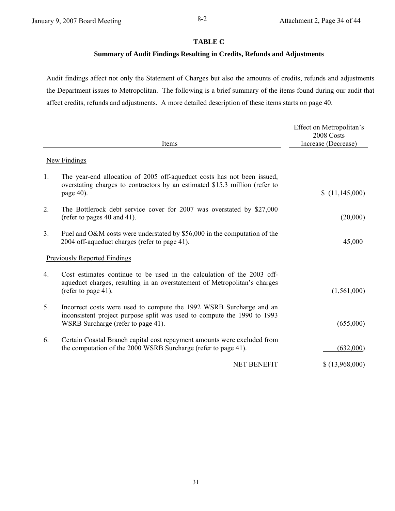### **TABLE C**

### **Summary of Audit Findings Resulting in Credits, Refunds and Adjustments**

Audit findings affect not only the Statement of Charges but also the amounts of credits, refunds and adjustments the Department issues to Metropolitan. The following is a brief summary of the items found during our audit that affect credits, refunds and adjustments. A more detailed description of these items starts on page 40.

|                |                                                                                                                                                                                      | Effect on Metropolitan's<br>2008 Costs |
|----------------|--------------------------------------------------------------------------------------------------------------------------------------------------------------------------------------|----------------------------------------|
|                | Items                                                                                                                                                                                | Increase (Decrease)                    |
|                | <b>New Findings</b>                                                                                                                                                                  |                                        |
| $\mathbf{1}$ . | The year-end allocation of 2005 off-aqueduct costs has not been issued,<br>overstating charges to contractors by an estimated \$15.3 million (refer to<br>page 40).                  | (11,145,000)                           |
| 2.             | The Bottlerock debt service cover for 2007 was overstated by \$27,000<br>(refer to pages 40 and 41).                                                                                 | (20,000)                               |
| 3 <sub>1</sub> | Fuel and O&M costs were understated by \$56,000 in the computation of the<br>2004 off-aqueduct charges (refer to page 41).                                                           | 45,000                                 |
|                | <b>Previously Reported Findings</b>                                                                                                                                                  |                                        |
| $4_{\cdot}$    | Cost estimates continue to be used in the calculation of the 2003 off-<br>aqueduct charges, resulting in an overstatement of Metropolitan's charges<br>(refer to page 41).           | (1,561,000)                            |
| 5.             | Incorrect costs were used to compute the 1992 WSRB Surcharge and an<br>inconsistent project purpose split was used to compute the 1990 to 1993<br>WSRB Surcharge (refer to page 41). | (655,000)                              |
| 6.             | Certain Coastal Branch capital cost repayment amounts were excluded from<br>the computation of the 2000 WSRB Surcharge (refer to page 41).                                           | (632,000)                              |
|                | <b>NET BENEFIT</b>                                                                                                                                                                   | 13,968,000                             |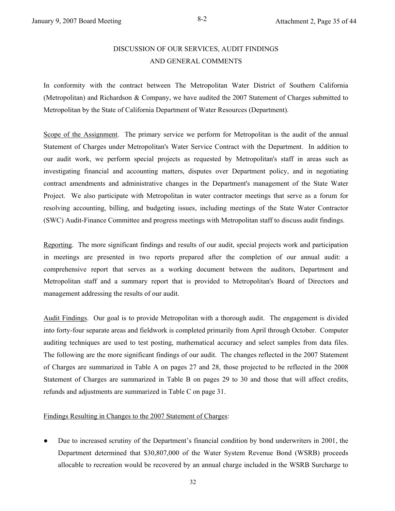# DISCUSSION OF OUR SERVICES, AUDIT FINDINGS AND GENERAL COMMENTS

In conformity with the contract between The Metropolitan Water District of Southern California (Metropolitan) and Richardson & Company, we have audited the 2007 Statement of Charges submitted to Metropolitan by the State of California Department of Water Resources (Department).

Scope of the Assignment. The primary service we perform for Metropolitan is the audit of the annual Statement of Charges under Metropolitan's Water Service Contract with the Department. In addition to our audit work, we perform special projects as requested by Metropolitan's staff in areas such as investigating financial and accounting matters, disputes over Department policy, and in negotiating contract amendments and administrative changes in the Department's management of the State Water Project. We also participate with Metropolitan in water contractor meetings that serve as a forum for resolving accounting, billing, and budgeting issues, including meetings of the State Water Contractor (SWC) Audit-Finance Committee and progress meetings with Metropolitan staff to discuss audit findings.

Reporting. The more significant findings and results of our audit, special projects work and participation in meetings are presented in two reports prepared after the completion of our annual audit: a comprehensive report that serves as a working document between the auditors, Department and Metropolitan staff and a summary report that is provided to Metropolitan's Board of Directors and management addressing the results of our audit.

Audit Findings. Our goal is to provide Metropolitan with a thorough audit. The engagement is divided into forty-four separate areas and fieldwork is completed primarily from April through October. Computer auditing techniques are used to test posting, mathematical accuracy and select samples from data files. The following are the more significant findings of our audit. The changes reflected in the 2007 Statement of Charges are summarized in Table A on pages 27 and 28, those projected to be reflected in the 2008 Statement of Charges are summarized in Table B on pages 29 to 30 and those that will affect credits, refunds and adjustments are summarized in Table C on page 31.

### Findings Resulting in Changes to the 2007 Statement of Charges:

● Due to increased scrutiny of the Department's financial condition by bond underwriters in 2001, the Department determined that \$30,807,000 of the Water System Revenue Bond (WSRB) proceeds allocable to recreation would be recovered by an annual charge included in the WSRB Surcharge to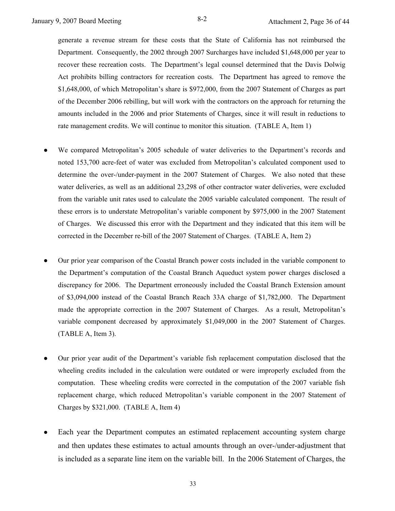generate a revenue stream for these costs that the State of California has not reimbursed the Department. Consequently, the 2002 through 2007 Surcharges have included \$1,648,000 per year to recover these recreation costs. The Department's legal counsel determined that the Davis Dolwig Act prohibits billing contractors for recreation costs. The Department has agreed to remove the \$1,648,000, of which Metropolitan's share is \$972,000, from the 2007 Statement of Charges as part of the December 2006 rebilling, but will work with the contractors on the approach for returning the amounts included in the 2006 and prior Statements of Charges, since it will result in reductions to rate management credits. We will continue to monitor this situation. (TABLE A, Item 1)

- We compared Metropolitan's 2005 schedule of water deliveries to the Department's records and noted 153,700 acre-feet of water was excluded from Metropolitan's calculated component used to determine the over-/under-payment in the 2007 Statement of Charges. We also noted that these water deliveries, as well as an additional 23,298 of other contractor water deliveries, were excluded from the variable unit rates used to calculate the 2005 variable calculated component. The result of these errors is to understate Metropolitan's variable component by \$975,000 in the 2007 Statement of Charges. We discussed this error with the Department and they indicated that this item will be corrected in the December re-bill of the 2007 Statement of Charges. (TABLE A, Item 2)
- Our prior year comparison of the Coastal Branch power costs included in the variable component to the Department's computation of the Coastal Branch Aqueduct system power charges disclosed a discrepancy for 2006. The Department erroneously included the Coastal Branch Extension amount of \$3,094,000 instead of the Coastal Branch Reach 33A charge of \$1,782,000. The Department made the appropriate correction in the 2007 Statement of Charges. As a result, Metropolitan's variable component decreased by approximately \$1,049,000 in the 2007 Statement of Charges. (TABLE A, Item 3).
- Our prior year audit of the Department's variable fish replacement computation disclosed that the wheeling credits included in the calculation were outdated or were improperly excluded from the computation. These wheeling credits were corrected in the computation of the 2007 variable fish replacement charge, which reduced Metropolitan's variable component in the 2007 Statement of Charges by \$321,000. (TABLE A, Item 4)
- Each year the Department computes an estimated replacement accounting system charge and then updates these estimates to actual amounts through an over-/under-adjustment that is included as a separate line item on the variable bill. In the 2006 Statement of Charges, the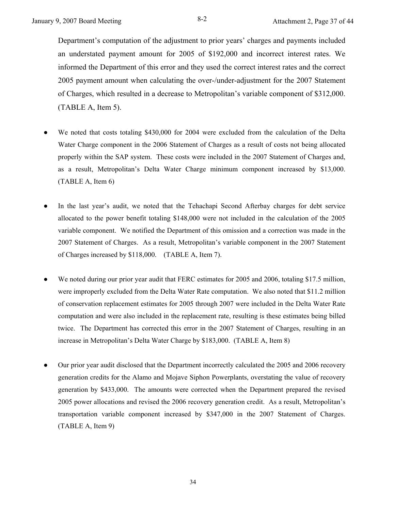Department's computation of the adjustment to prior years' charges and payments included an understated payment amount for 2005 of \$192,000 and incorrect interest rates. We informed the Department of this error and they used the correct interest rates and the correct 2005 payment amount when calculating the over-/under-adjustment for the 2007 Statement of Charges, which resulted in a decrease to Metropolitan's variable component of \$312,000. (TABLE A, Item 5).

- We noted that costs totaling \$430,000 for 2004 were excluded from the calculation of the Delta Water Charge component in the 2006 Statement of Charges as a result of costs not being allocated properly within the SAP system. These costs were included in the 2007 Statement of Charges and, as a result, Metropolitan's Delta Water Charge minimum component increased by \$13,000. (TABLE A, Item 6)
- In the last year's audit, we noted that the Tehachapi Second Afterbay charges for debt service allocated to the power benefit totaling \$148,000 were not included in the calculation of the 2005 variable component. We notified the Department of this omission and a correction was made in the 2007 Statement of Charges. As a result, Metropolitan's variable component in the 2007 Statement of Charges increased by \$118,000. (TABLE A, Item 7).
- We noted during our prior year audit that FERC estimates for 2005 and 2006, totaling \$17.5 million, were improperly excluded from the Delta Water Rate computation. We also noted that \$11.2 million of conservation replacement estimates for 2005 through 2007 were included in the Delta Water Rate computation and were also included in the replacement rate, resulting is these estimates being billed twice. The Department has corrected this error in the 2007 Statement of Charges, resulting in an increase in Metropolitan's Delta Water Charge by \$183,000. (TABLE A, Item 8)
- Our prior year audit disclosed that the Department incorrectly calculated the 2005 and 2006 recovery generation credits for the Alamo and Mojave Siphon Powerplants, overstating the value of recovery generation by \$433,000. The amounts were corrected when the Department prepared the revised 2005 power allocations and revised the 2006 recovery generation credit. As a result, Metropolitan's transportation variable component increased by \$347,000 in the 2007 Statement of Charges. (TABLE A, Item 9)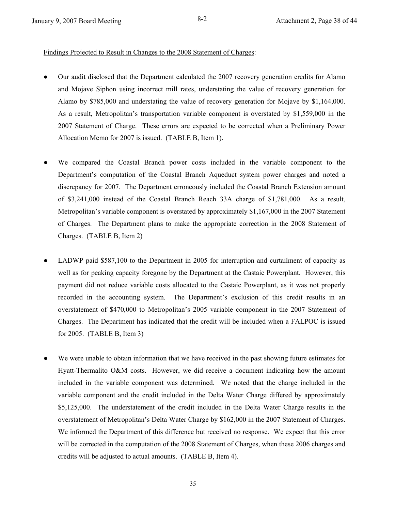### Findings Projected to Result in Changes to the 2008 Statement of Charges:

- Our audit disclosed that the Department calculated the 2007 recovery generation credits for Alamo and Mojave Siphon using incorrect mill rates, understating the value of recovery generation for Alamo by \$785,000 and understating the value of recovery generation for Mojave by \$1,164,000. As a result, Metropolitan's transportation variable component is overstated by \$1,559,000 in the 2007 Statement of Charge. These errors are expected to be corrected when a Preliminary Power Allocation Memo for 2007 is issued. (TABLE B, Item 1).
- We compared the Coastal Branch power costs included in the variable component to the Department's computation of the Coastal Branch Aqueduct system power charges and noted a discrepancy for 2007. The Department erroneously included the Coastal Branch Extension amount of \$3,241,000 instead of the Coastal Branch Reach 33A charge of \$1,781,000. As a result, Metropolitan's variable component is overstated by approximately \$1,167,000 in the 2007 Statement of Charges. The Department plans to make the appropriate correction in the 2008 Statement of Charges. (TABLE B, Item 2)
- LADWP paid \$587,100 to the Department in 2005 for interruption and curtailment of capacity as well as for peaking capacity foregone by the Department at the Castaic Powerplant. However, this payment did not reduce variable costs allocated to the Castaic Powerplant, as it was not properly recorded in the accounting system. The Department's exclusion of this credit results in an overstatement of \$470,000 to Metropolitan's 2005 variable component in the 2007 Statement of Charges. The Department has indicated that the credit will be included when a FALPOC is issued for 2005. (TABLE B, Item 3)
- We were unable to obtain information that we have received in the past showing future estimates for Hyatt-Thermalito O&M costs. However, we did receive a document indicating how the amount included in the variable component was determined. We noted that the charge included in the variable component and the credit included in the Delta Water Charge differed by approximately \$5,125,000. The understatement of the credit included in the Delta Water Charge results in the overstatement of Metropolitan's Delta Water Charge by \$162,000 in the 2007 Statement of Charges. We informed the Department of this difference but received no response. We expect that this error will be corrected in the computation of the 2008 Statement of Charges, when these 2006 charges and credits will be adjusted to actual amounts. (TABLE B, Item 4).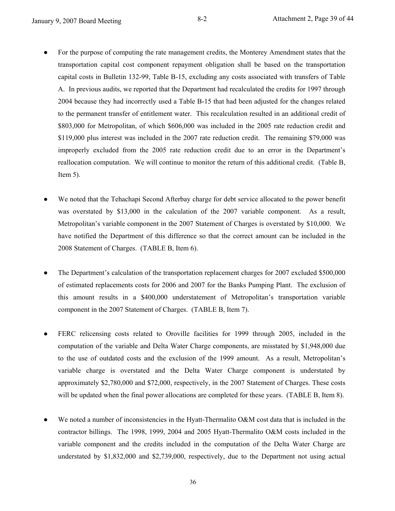- For the purpose of computing the rate management credits, the Monterey Amendment states that the transportation capital cost component repayment obligation shall be based on the transportation capital costs in Bulletin 132-99, Table B-15, excluding any costs associated with transfers of Table A. In previous audits, we reported that the Department had recalculated the credits for 1997 through 2004 because they had incorrectly used a Table B-15 that had been adjusted for the changes related to the permanent transfer of entitlement water. This recalculation resulted in an additional credit of \$803,000 for Metropolitan, of which \$606,000 was included in the 2005 rate reduction credit and \$119,000 plus interest was included in the 2007 rate reduction credit. The remaining \$79,000 was improperly excluded from the 2005 rate reduction credit due to an error in the Department's reallocation computation. We will continue to monitor the return of this additional credit. (Table B, Item  $5$ ).
- We noted that the Tehachapi Second Afterbay charge for debt service allocated to the power benefit was overstated by \$13,000 in the calculation of the 2007 variable component. As a result, Metropolitan's variable component in the 2007 Statement of Charges is overstated by \$10,000. We have notified the Department of this difference so that the correct amount can be included in the 2008 Statement of Charges. (TABLE B, Item 6).
- The Department's calculation of the transportation replacement charges for 2007 excluded \$500,000 of estimated replacements costs for 2006 and 2007 for the Banks Pumping Plant. The exclusion of this amount results in a \$400,000 understatement of Metropolitan's transportation variable component in the 2007 Statement of Charges. (TABLE B, Item 7).
- FERC relicensing costs related to Oroville facilities for 1999 through 2005, included in the computation of the variable and Delta Water Charge components, are misstated by \$1,948,000 due to the use of outdated costs and the exclusion of the 1999 amount. As a result, Metropolitan's variable charge is overstated and the Delta Water Charge component is understated by approximately \$2,780,000 and \$72,000, respectively, in the 2007 Statement of Charges. These costs will be updated when the final power allocations are completed for these years. (TABLE B, Item 8).
- We noted a number of inconsistencies in the Hyatt-Thermalito O&M cost data that is included in the contractor billings. The 1998, 1999, 2004 and 2005 Hyatt-Thermalito O&M costs included in the variable component and the credits included in the computation of the Delta Water Charge are understated by \$1,832,000 and \$2,739,000, respectively, due to the Department not using actual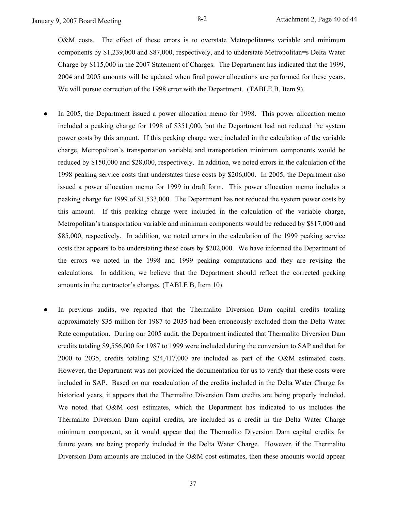O&M costs. The effect of these errors is to overstate Metropolitan=s variable and minimum components by \$1,239,000 and \$87,000, respectively, and to understate Metropolitan=s Delta Water Charge by \$115,000 in the 2007 Statement of Charges. The Department has indicated that the 1999, 2004 and 2005 amounts will be updated when final power allocations are performed for these years. We will pursue correction of the 1998 error with the Department. (TABLE B, Item 9).

- In 2005, the Department issued a power allocation memo for 1998. This power allocation memo included a peaking charge for 1998 of \$351,000, but the Department had not reduced the system power costs by this amount. If this peaking charge were included in the calculation of the variable charge, Metropolitan's transportation variable and transportation minimum components would be reduced by \$150,000 and \$28,000, respectively. In addition, we noted errors in the calculation of the 1998 peaking service costs that understates these costs by \$206,000. In 2005, the Department also issued a power allocation memo for 1999 in draft form. This power allocation memo includes a peaking charge for 1999 of \$1,533,000. The Department has not reduced the system power costs by this amount. If this peaking charge were included in the calculation of the variable charge, Metropolitan's transportation variable and minimum components would be reduced by \$817,000 and \$85,000, respectively. In addition, we noted errors in the calculation of the 1999 peaking service costs that appears to be understating these costs by \$202,000. We have informed the Department of the errors we noted in the 1998 and 1999 peaking computations and they are revising the calculations. In addition, we believe that the Department should reflect the corrected peaking amounts in the contractor's charges. (TABLE B, Item 10).
- In previous audits, we reported that the Thermalito Diversion Dam capital credits totaling approximately \$35 million for 1987 to 2035 had been erroneously excluded from the Delta Water Rate computation. During our 2005 audit, the Department indicated that Thermalito Diversion Dam credits totaling \$9,556,000 for 1987 to 1999 were included during the conversion to SAP and that for 2000 to 2035, credits totaling \$24,417,000 are included as part of the O&M estimated costs. However, the Department was not provided the documentation for us to verify that these costs were included in SAP. Based on our recalculation of the credits included in the Delta Water Charge for historical years, it appears that the Thermalito Diversion Dam credits are being properly included. We noted that O&M cost estimates, which the Department has indicated to us includes the Thermalito Diversion Dam capital credits, are included as a credit in the Delta Water Charge minimum component, so it would appear that the Thermalito Diversion Dam capital credits for future years are being properly included in the Delta Water Charge. However, if the Thermalito Diversion Dam amounts are included in the O&M cost estimates, then these amounts would appear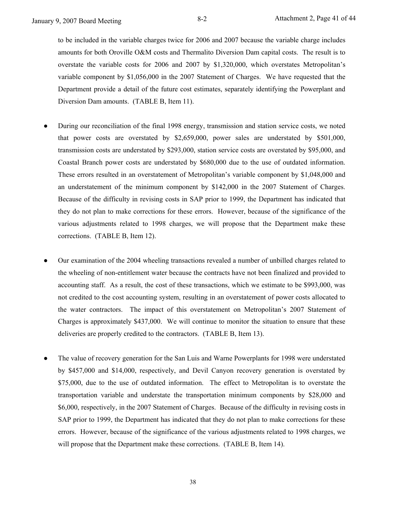to be included in the variable charges twice for 2006 and 2007 because the variable charge includes amounts for both Oroville O&M costs and Thermalito Diversion Dam capital costs. The result is to overstate the variable costs for 2006 and 2007 by \$1,320,000, which overstates Metropolitan's variable component by \$1,056,000 in the 2007 Statement of Charges. We have requested that the Department provide a detail of the future cost estimates, separately identifying the Powerplant and Diversion Dam amounts. (TABLE B, Item 11).

- During our reconciliation of the final 1998 energy, transmission and station service costs, we noted that power costs are overstated by \$2,659,000, power sales are understated by \$501,000, transmission costs are understated by \$293,000, station service costs are overstated by \$95,000, and Coastal Branch power costs are understated by \$680,000 due to the use of outdated information. These errors resulted in an overstatement of Metropolitan's variable component by \$1,048,000 and an understatement of the minimum component by \$142,000 in the 2007 Statement of Charges. Because of the difficulty in revising costs in SAP prior to 1999, the Department has indicated that they do not plan to make corrections for these errors. However, because of the significance of the various adjustments related to 1998 charges, we will propose that the Department make these corrections. (TABLE B, Item 12).
- Our examination of the 2004 wheeling transactions revealed a number of unbilled charges related to the wheeling of non-entitlement water because the contracts have not been finalized and provided to accounting staff. As a result, the cost of these transactions, which we estimate to be \$993,000, was not credited to the cost accounting system, resulting in an overstatement of power costs allocated to the water contractors. The impact of this overstatement on Metropolitan's 2007 Statement of Charges is approximately \$437,000. We will continue to monitor the situation to ensure that these deliveries are properly credited to the contractors. (TABLE B, Item 13).
- The value of recovery generation for the San Luis and Warne Powerplants for 1998 were understated by \$457,000 and \$14,000, respectively, and Devil Canyon recovery generation is overstated by \$75,000, due to the use of outdated information. The effect to Metropolitan is to overstate the transportation variable and understate the transportation minimum components by \$28,000 and \$6,000, respectively, in the 2007 Statement of Charges. Because of the difficulty in revising costs in SAP prior to 1999, the Department has indicated that they do not plan to make corrections for these errors. However, because of the significance of the various adjustments related to 1998 charges, we will propose that the Department make these corrections. (TABLE B, Item 14).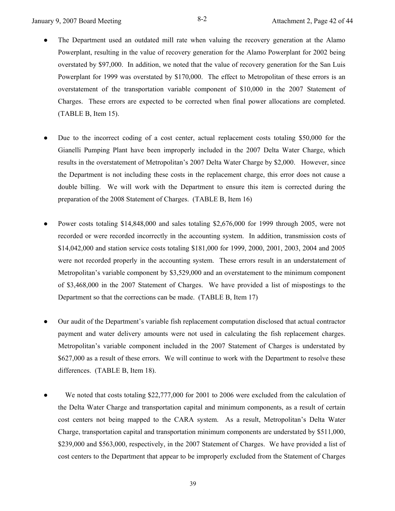- The Department used an outdated mill rate when valuing the recovery generation at the Alamo Powerplant, resulting in the value of recovery generation for the Alamo Powerplant for 2002 being overstated by \$97,000. In addition, we noted that the value of recovery generation for the San Luis Powerplant for 1999 was overstated by \$170,000. The effect to Metropolitan of these errors is an overstatement of the transportation variable component of \$10,000 in the 2007 Statement of Charges. These errors are expected to be corrected when final power allocations are completed. (TABLE B, Item 15).
- Due to the incorrect coding of a cost center, actual replacement costs totaling \$50,000 for the Gianelli Pumping Plant have been improperly included in the 2007 Delta Water Charge, which results in the overstatement of Metropolitan's 2007 Delta Water Charge by \$2,000. However, since the Department is not including these costs in the replacement charge, this error does not cause a double billing. We will work with the Department to ensure this item is corrected during the preparation of the 2008 Statement of Charges. (TABLE B, Item 16)
- Power costs totaling \$14,848,000 and sales totaling \$2,676,000 for 1999 through 2005, were not recorded or were recorded incorrectly in the accounting system. In addition, transmission costs of \$14,042,000 and station service costs totaling \$181,000 for 1999, 2000, 2001, 2003, 2004 and 2005 were not recorded properly in the accounting system. These errors result in an understatement of Metropolitan's variable component by \$3,529,000 and an overstatement to the minimum component of \$3,468,000 in the 2007 Statement of Charges. We have provided a list of mispostings to the Department so that the corrections can be made. (TABLE B, Item 17)
- Our audit of the Department's variable fish replacement computation disclosed that actual contractor payment and water delivery amounts were not used in calculating the fish replacement charges. Metropolitan's variable component included in the 2007 Statement of Charges is understated by \$627,000 as a result of these errors. We will continue to work with the Department to resolve these differences. (TABLE B, Item 18).
- We noted that costs totaling \$22,777,000 for 2001 to 2006 were excluded from the calculation of the Delta Water Charge and transportation capital and minimum components, as a result of certain cost centers not being mapped to the CARA system. As a result, Metropolitan's Delta Water Charge, transportation capital and transportation minimum components are understated by \$511,000, \$239,000 and \$563,000, respectively, in the 2007 Statement of Charges. We have provided a list of cost centers to the Department that appear to be improperly excluded from the Statement of Charges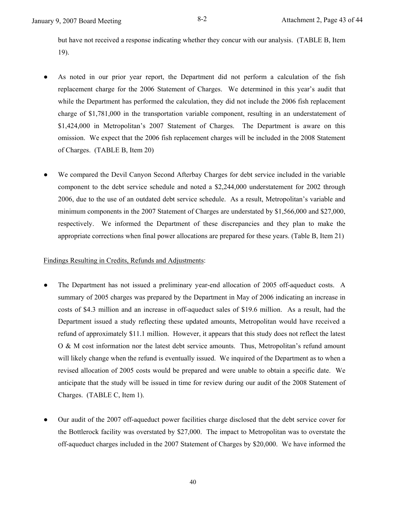but have not received a response indicating whether they concur with our analysis. (TABLE B, Item 19).

- As noted in our prior year report, the Department did not perform a calculation of the fish replacement charge for the 2006 Statement of Charges. We determined in this year's audit that while the Department has performed the calculation, they did not include the 2006 fish replacement charge of \$1,781,000 in the transportation variable component, resulting in an understatement of \$1,424,000 in Metropolitan's 2007 Statement of Charges. The Department is aware on this omission. We expect that the 2006 fish replacement charges will be included in the 2008 Statement of Charges. (TABLE B, Item 20)
- We compared the Devil Canyon Second Afterbay Charges for debt service included in the variable component to the debt service schedule and noted a \$2,244,000 understatement for 2002 through 2006, due to the use of an outdated debt service schedule. As a result, Metropolitan's variable and minimum components in the 2007 Statement of Charges are understated by \$1,566,000 and \$27,000, respectively. We informed the Department of these discrepancies and they plan to make the appropriate corrections when final power allocations are prepared for these years. (Table B, Item 21)

### Findings Resulting in Credits, Refunds and Adjustments:

- The Department has not issued a preliminary year-end allocation of 2005 off-aqueduct costs. A summary of 2005 charges was prepared by the Department in May of 2006 indicating an increase in costs of \$4.3 million and an increase in off-aqueduct sales of \$19.6 million. As a result, had the Department issued a study reflecting these updated amounts, Metropolitan would have received a refund of approximately \$11.1 million. However, it appears that this study does not reflect the latest O & M cost information nor the latest debt service amounts. Thus, Metropolitan's refund amount will likely change when the refund is eventually issued. We inquired of the Department as to when a revised allocation of 2005 costs would be prepared and were unable to obtain a specific date. We anticipate that the study will be issued in time for review during our audit of the 2008 Statement of Charges. (TABLE C, Item 1).
- Our audit of the 2007 off-aqueduct power facilities charge disclosed that the debt service cover for the Bottlerock facility was overstated by \$27,000. The impact to Metropolitan was to overstate the off-aqueduct charges included in the 2007 Statement of Charges by \$20,000. We have informed the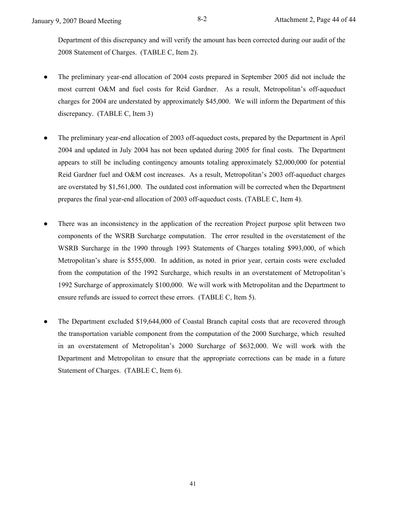Department of this discrepancy and will verify the amount has been corrected during our audit of the 2008 Statement of Charges. (TABLE C, Item 2).

- The preliminary year-end allocation of 2004 costs prepared in September 2005 did not include the most current O&M and fuel costs for Reid Gardner. As a result, Metropolitan's off-aqueduct charges for 2004 are understated by approximately \$45,000. We will inform the Department of this discrepancy. (TABLE C, Item 3)
- The preliminary year-end allocation of 2003 off-aqueduct costs, prepared by the Department in April 2004 and updated in July 2004 has not been updated during 2005 for final costs. The Department appears to still be including contingency amounts totaling approximately \$2,000,000 for potential Reid Gardner fuel and O&M cost increases. As a result, Metropolitan's 2003 off-aqueduct charges are overstated by \$1,561,000. The outdated cost information will be corrected when the Department prepares the final year-end allocation of 2003 off-aqueduct costs. (TABLE C, Item 4).
- There was an inconsistency in the application of the recreation Project purpose split between two components of the WSRB Surcharge computation. The error resulted in the overstatement of the WSRB Surcharge in the 1990 through 1993 Statements of Charges totaling \$993,000, of which Metropolitan's share is \$555,000. In addition, as noted in prior year, certain costs were excluded from the computation of the 1992 Surcharge, which results in an overstatement of Metropolitan's 1992 Surcharge of approximately \$100,000. We will work with Metropolitan and the Department to ensure refunds are issued to correct these errors. (TABLE C, Item 5).
- The Department excluded \$19,644,000 of Coastal Branch capital costs that are recovered through the transportation variable component from the computation of the 2000 Surcharge, which resulted in an overstatement of Metropolitan's 2000 Surcharge of \$632,000. We will work with the Department and Metropolitan to ensure that the appropriate corrections can be made in a future Statement of Charges. (TABLE C, Item 6).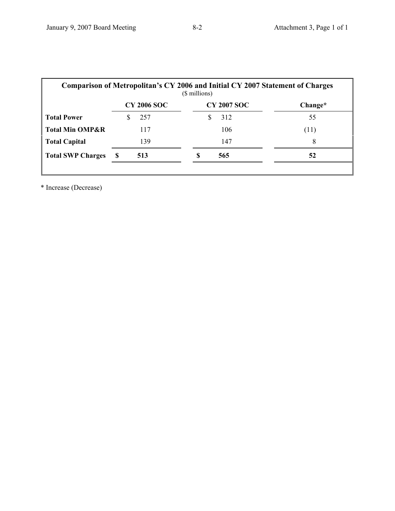| Comparison of Metropolitan's CY 2006 and Initial CY 2007 Statement of Charges<br>(\$ millions) |                    |                    |         |  |  |
|------------------------------------------------------------------------------------------------|--------------------|--------------------|---------|--|--|
|                                                                                                | <b>CY 2006 SOC</b> | <b>CY 2007 SOC</b> | Change* |  |  |
| <b>Total Power</b>                                                                             | 257                | 312<br>S           | 55      |  |  |
| <b>Total Min OMP&amp;R</b>                                                                     | 117                | 106                | (11)    |  |  |
| <b>Total Capital</b>                                                                           | 139                | 147                | 8       |  |  |
| <b>Total SWP Charges</b>                                                                       | S<br>513           | S<br>565           | 52      |  |  |
|                                                                                                |                    |                    |         |  |  |

\* Increase (Decrease)